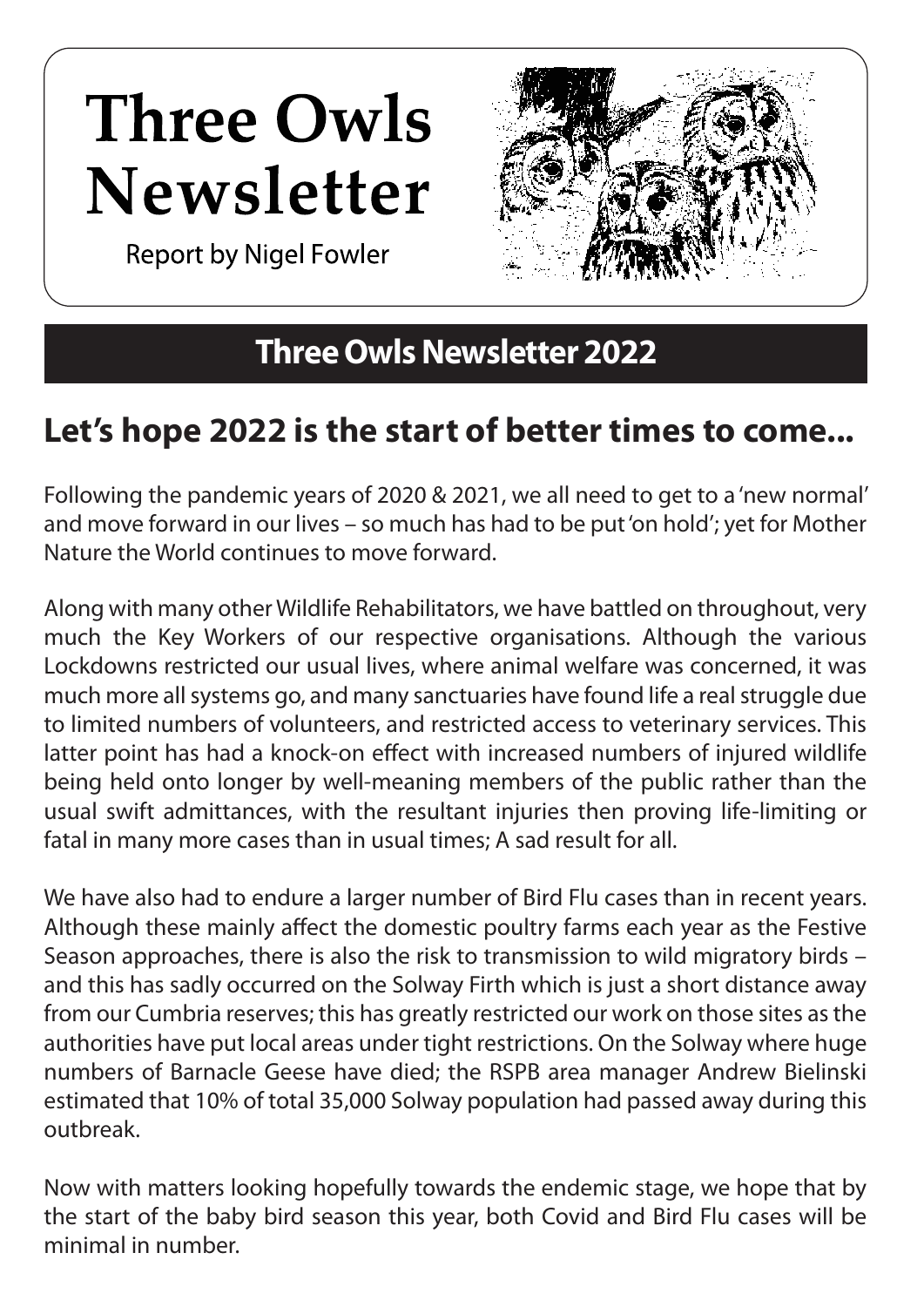## **Three Owls** Newsletter

**Report by Nigel Fowler** 

### **Three Owls Newsletter 2022**

## **Let's hope 2022 is the start of better times to come...**

Following the pandemic years of 2020 & 2021, we all need to get to a 'new normal' and move forward in our lives – so much has had to be put 'on hold'; yet for Mother Nature the World continues to move forward.

Along with many other Wildlife Rehabilitators, we have battled on throughout, very much the Key Workers of our respective organisations. Although the various Lockdowns restricted our usual lives, where animal welfare was concerned, it was much more all systems go, and many sanctuaries have found life a real struggle due to limited numbers of volunteers, and restricted access to veterinary services. This latter point has had a knock-on effect with increased numbers of injured wildlife being held onto longer by well-meaning members of the public rather than the usual swift admittances, with the resultant injuries then proving life-limiting or fatal in many more cases than in usual times; A sad result for all.

We have also had to endure a larger number of Bird Flu cases than in recent years. Although these mainly affect the domestic poultry farms each year as the Festive Season approaches, there is also the risk to transmission to wild migratory birds – and this has sadly occurred on the Solway Firth which is just a short distance away from our Cumbria reserves; this has greatly restricted our work on those sites as the authorities have put local areas under tight restrictions. On the Solway where huge numbers of Barnacle Geese have died; the RSPB area manager Andrew Bielinski estimated that 10% of total 35,000 Solway population had passed away during this outbreak.

Now with matters looking hopefully towards the endemic stage, we hope that by the start of the baby bird season this year, both Covid and Bird Flu cases will be minimal in number.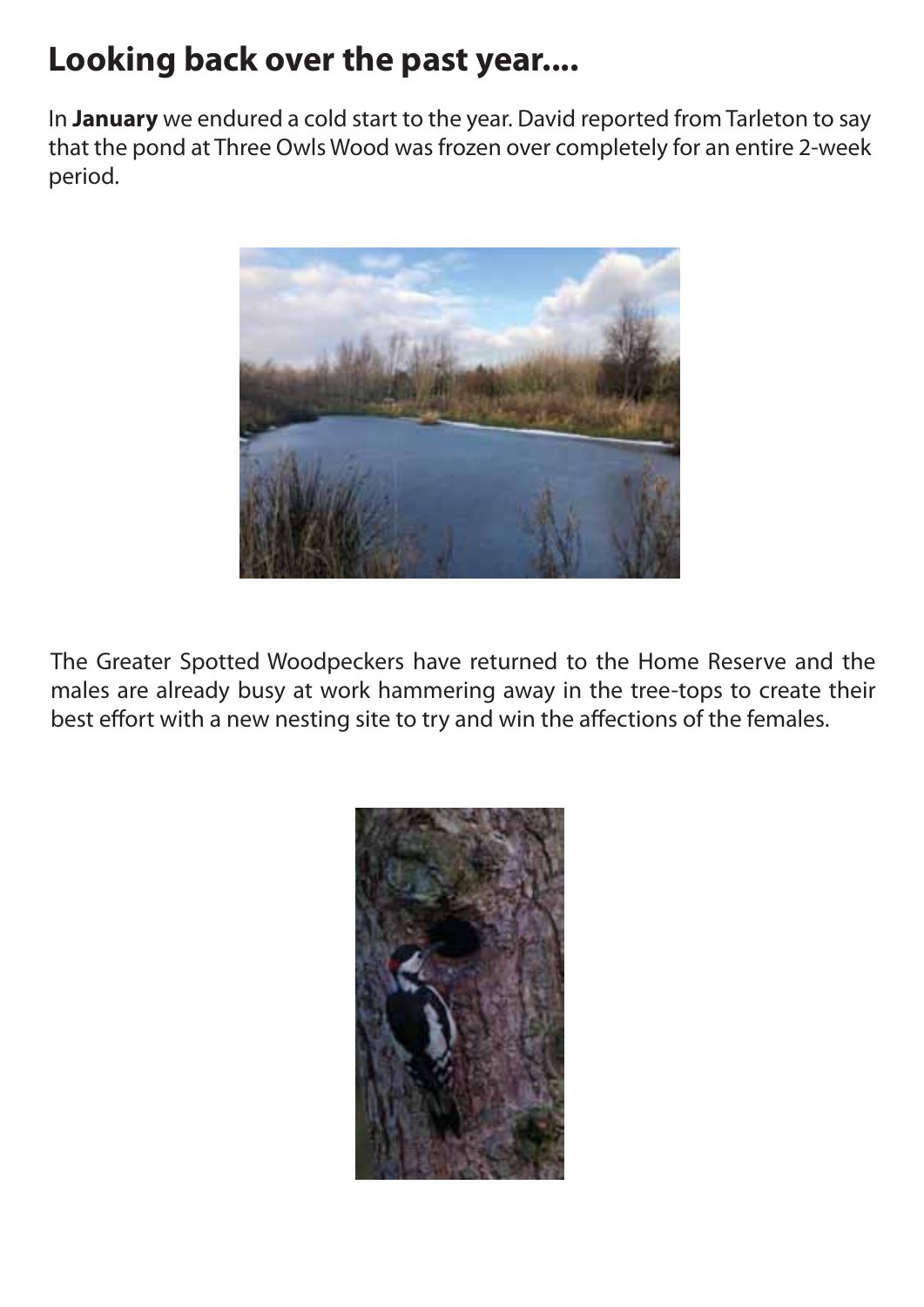## **Looking back over the past year....**

In **January** we endured a cold start to the year. David reported from Tarleton to say that the pond at Three Owls Wood was frozen over completely for an entire 2-week period.



The Greater Spotted Woodpeckers have returned to the Home Reserve and the males are already busy at work hammering away in the tree-tops to create their best effort with a new nesting site to try and win the affections of the females.

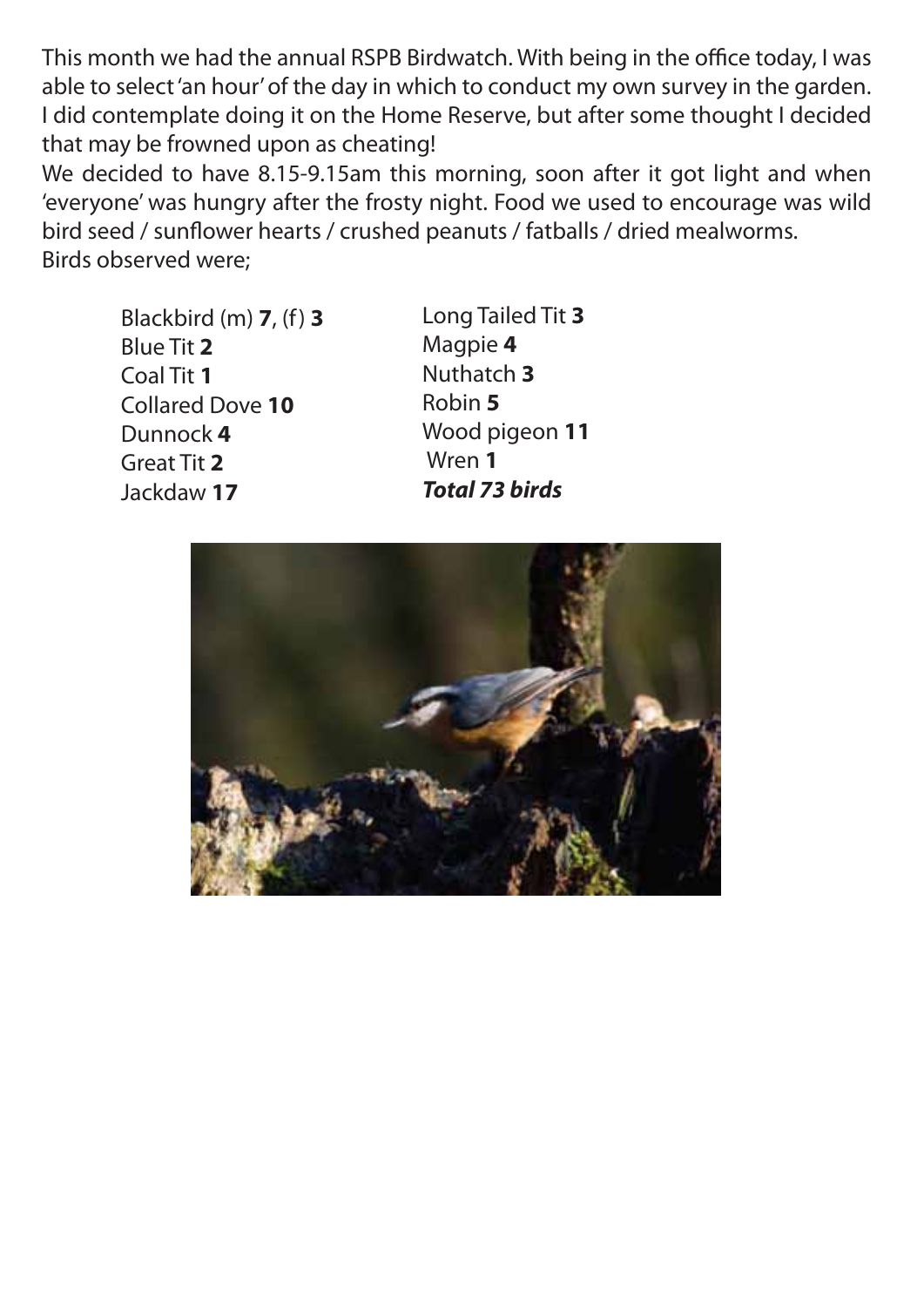This month we had the annual RSPB Birdwatch. With being in the office today, I was able to select 'an hour' of the day in which to conduct my own survey in the garden. I did contemplate doing it on the Home Reserve, but after some thought I decided that may be frowned upon as cheating!

We decided to have 8.15-9.15am this morning, soon after it got light and when 'everyone' was hungry after the frosty night. Food we used to encourage was wild bird seed / sunflower hearts / crushed peanuts / fatballs / dried mealworms. Birds observed were;

 Blackbird (m) **7**, (f) **3** Blue Tit **2** Coal Tit **1** Collared Dove **10** Dunnock **4** Great Tit **2** Jackdaw **17**

Long Tailed Tit **3**  Magpie **4** Nuthatch **3** Robin **5** Wood pigeon **11** Wren **1** *Total 73 birds*

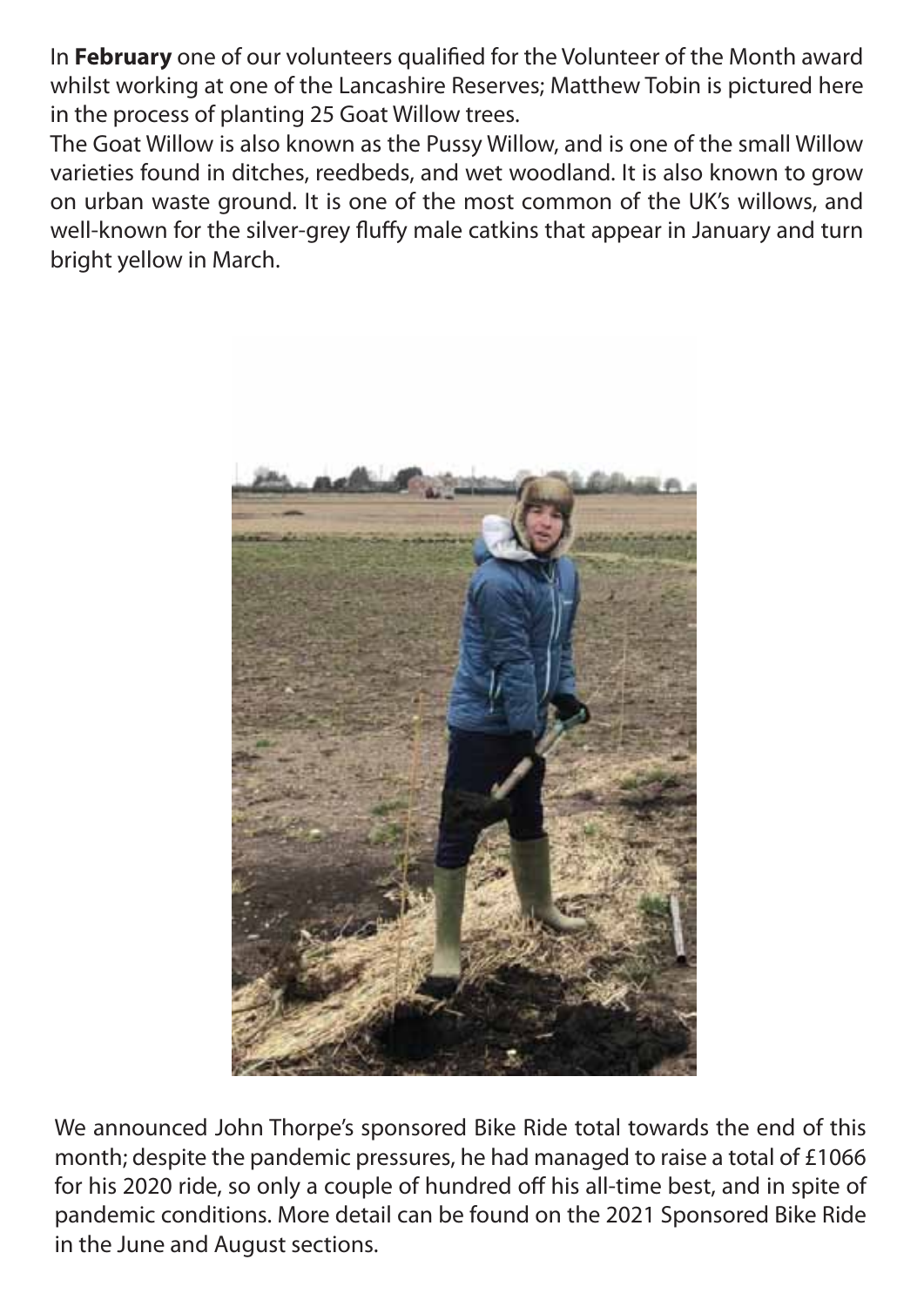In February one of our volunteers qualified for the Volunteer of the Month award whilst working at one of the Lancashire Reserves; Matthew Tobin is pictured here in the process of planting 25 Goat Willow trees.

The Goat Willow is also known as the Pussy Willow, and is one of the small Willow varieties found in ditches, reedbeds, and wet woodland. It is also known to grow on urban waste ground. It is one of the most common of the UK's willows, and well-known for the silver-grey fluffy male catkins that appear in January and turn bright yellow in March.



We announced John Thorpe's sponsored Bike Ride total towards the end of this month; despite the pandemic pressures, he had managed to raise a total of £1066 for his 2020 ride, so only a couple of hundred off his all-time best, and in spite of pandemic conditions. More detail can be found on the 2021 Sponsored Bike Ride in the June and August sections.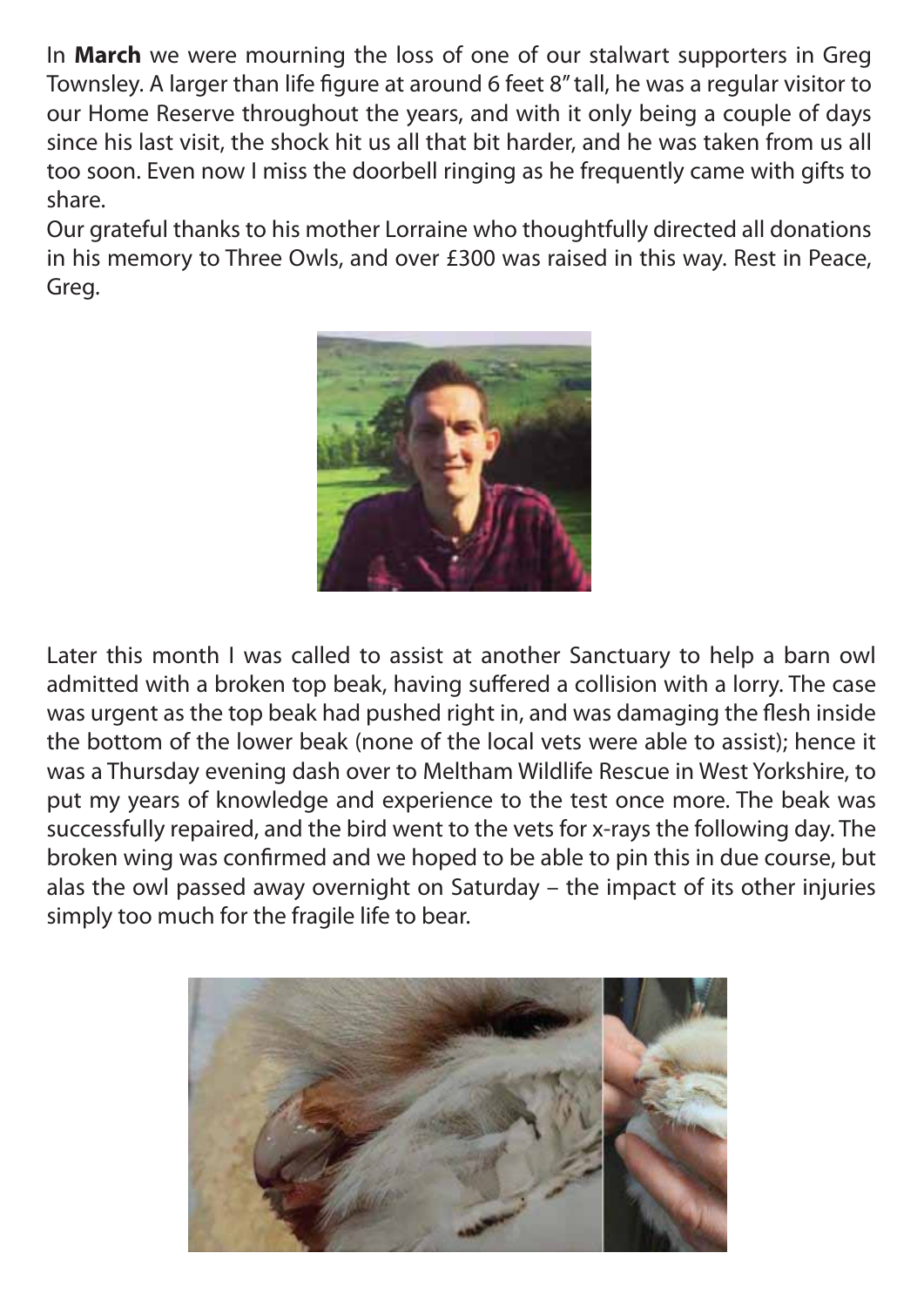In **March** we were mourning the loss of one of our stalwart supporters in Greg Townsley. A larger than life figure at around 6 feet 8" tall, he was a regular visitor to our Home Reserve throughout the years, and with it only being a couple of days since his last visit, the shock hit us all that bit harder, and he was taken from us all too soon. Even now I miss the doorbell ringing as he frequently came with gifts to share.

Our grateful thanks to his mother Lorraine who thoughtfully directed all donations in his memory to Three Owls, and over £300 was raised in this way. Rest in Peace, Greg.



Later this month I was called to assist at another Sanctuary to help a barn owl admitted with a broken top beak, having suffered a collision with a lorry. The case was urgent as the top beak had pushed right in, and was damaging the flesh inside the bottom of the lower beak (none of the local vets were able to assist); hence it was a Thursday evening dash over to Meltham Wildlife Rescue in West Yorkshire, to put my years of knowledge and experience to the test once more. The beak was successfully repaired, and the bird went to the vets for x-rays the following day. The broken wing was confirmed and we hoped to be able to pin this in due course, but alas the owl passed away overnight on Saturday – the impact of its other injuries simply too much for the fragile life to bear.

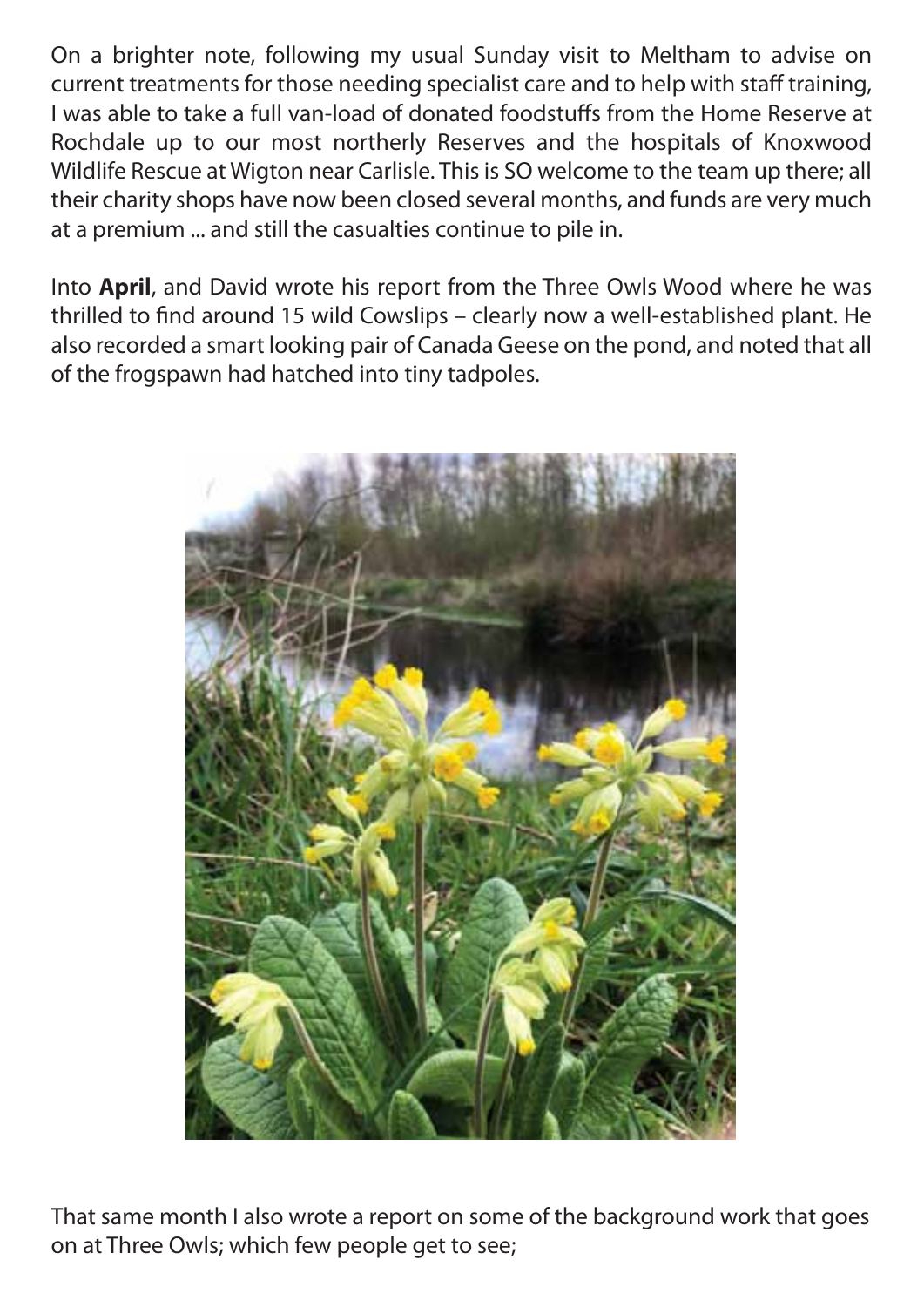On a brighter note, following my usual Sunday visit to Meltham to advise on current treatments for those needing specialist care and to help with staff training, I was able to take a full van-load of donated foodstuffs from the Home Reserve at Rochdale up to our most northerly Reserves and the hospitals of Knoxwood Wildlife Rescue at Wigton near Carlisle. This is SO welcome to the team up there; all their charity shops have now been closed several months, and funds are very much at a premium ... and still the casualties continue to pile in.

Into **April**, and David wrote his report from the Three Owls Wood where he was thrilled to find around 15 wild Cowslips - clearly now a well-established plant. He also recorded a smart looking pair of Canada Geese on the pond, and noted that all of the frogspawn had hatched into tiny tadpoles.



That same month I also wrote a report on some of the background work that goes on at Three Owls; which few people get to see;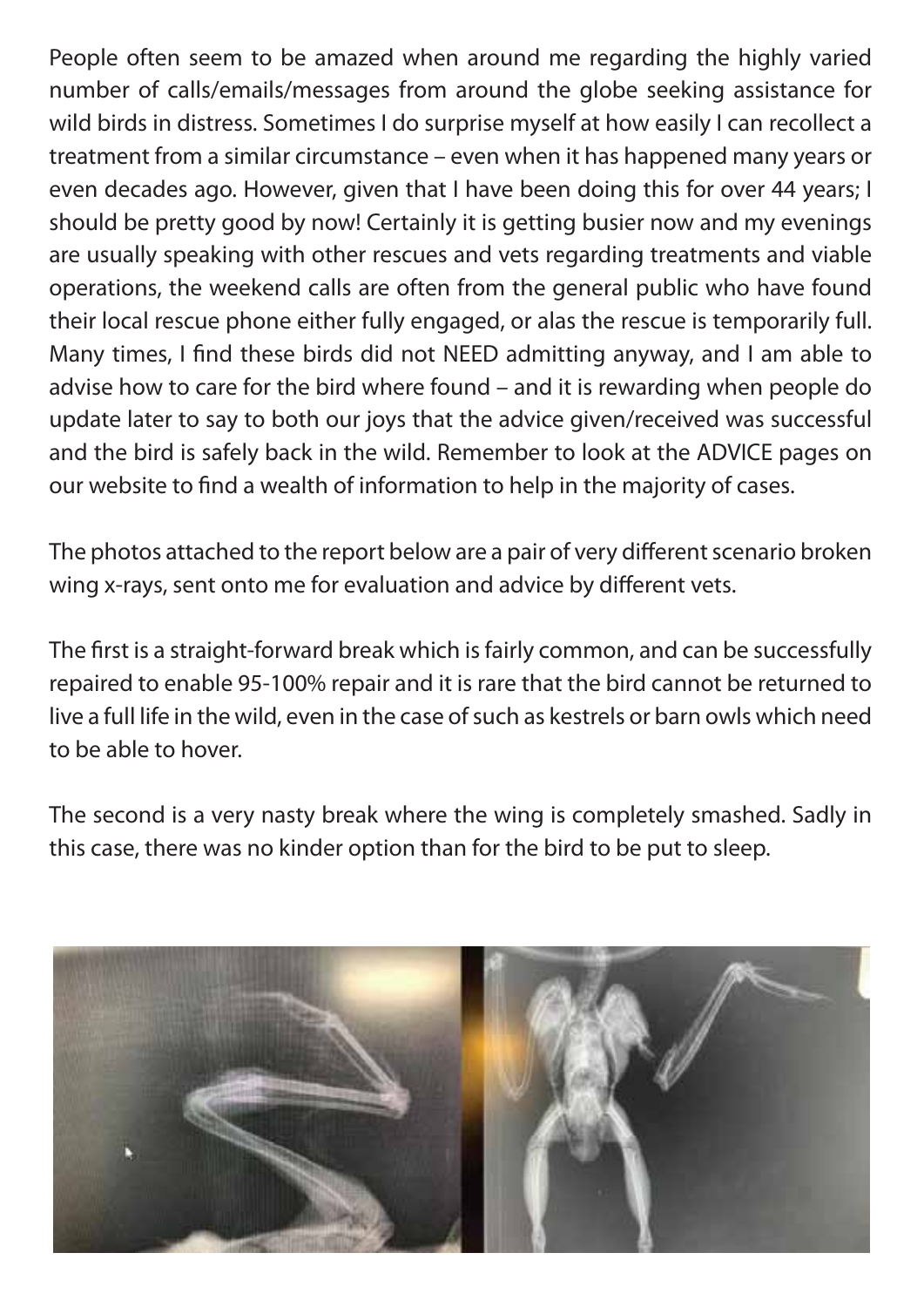People often seem to be amazed when around me regarding the highly varied number of calls/emails/messages from around the globe seeking assistance for wild birds in distress. Sometimes I do surprise myself at how easily I can recollect a treatment from a similar circumstance – even when it has happened many years or even decades ago. However, given that I have been doing this for over 44 years; I should be pretty good by now! Certainly it is getting busier now and my evenings are usually speaking with other rescues and vets regarding treatments and viable operations, the weekend calls are often from the general public who have found their local rescue phone either fully engaged, or alas the rescue is temporarily full. Many times, I find these birds did not NEED admitting anyway, and I am able to advise how to care for the bird where found – and it is rewarding when people do update later to say to both our joys that the advice given/received was successful and the bird is safely back in the wild. Remember to look at the ADVICE pages on our website to find a wealth of information to help in the majority of cases.

The photos attached to the report below are a pair of very different scenario broken wing x-rays, sent onto me for evaluation and advice by different vets.

The first is a straight-forward break which is fairly common, and can be successfully repaired to enable 95-100% repair and it is rare that the bird cannot be returned to live a full life in the wild, even in the case of such as kestrels or barn owls which need to be able to hover.

The second is a very nasty break where the wing is completely smashed. Sadly in this case, there was no kinder option than for the bird to be put to sleep.

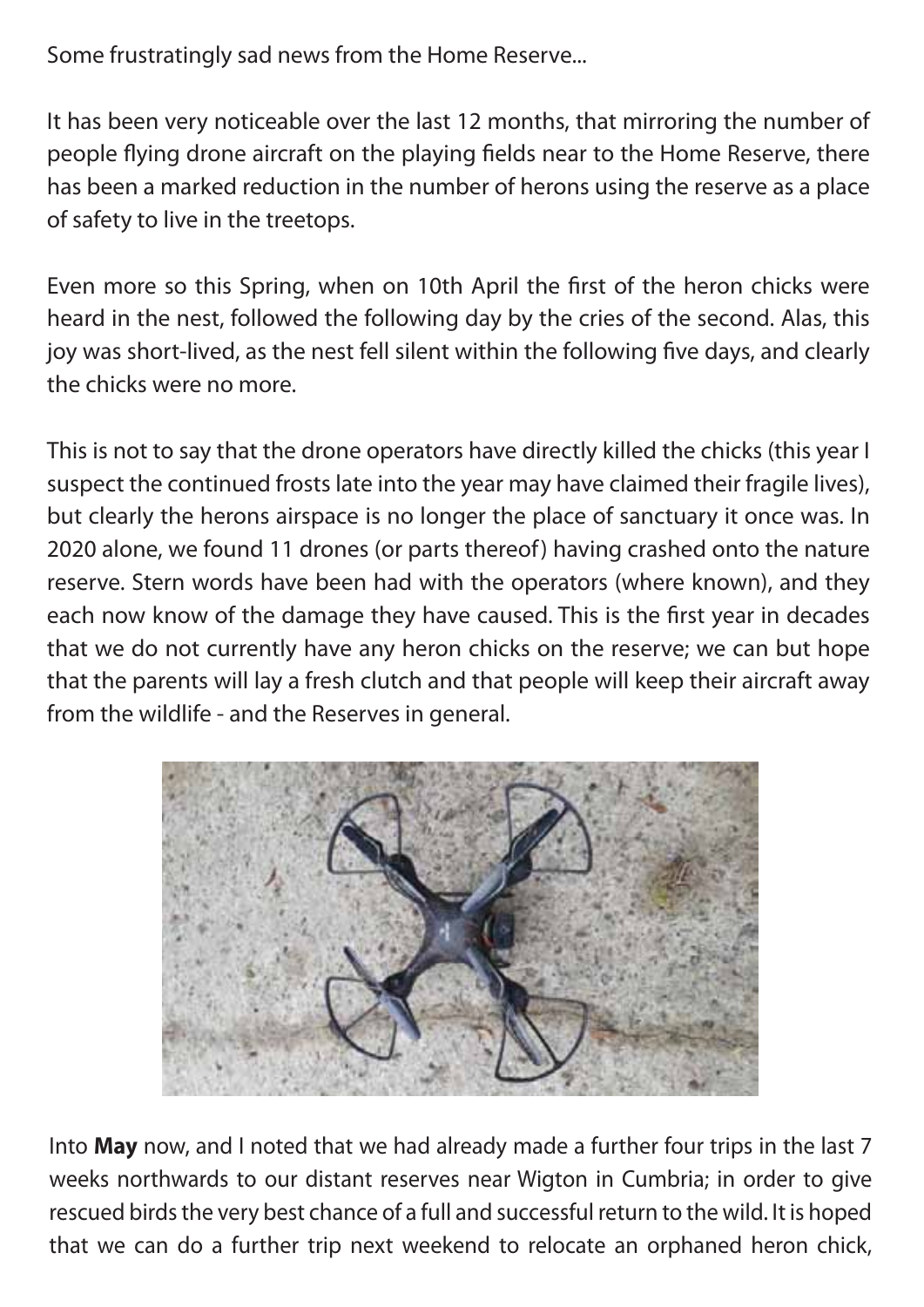Some frustratingly sad news from the Home Reserve...

It has been very noticeable over the last 12 months, that mirroring the number of people flying drone aircraft on the playing fields near to the Home Reserve, there has been a marked reduction in the number of herons using the reserve as a place of safety to live in the treetops.

Even more so this Spring, when on 10th April the first of the heron chicks were heard in the nest, followed the following day by the cries of the second. Alas, this joy was short-lived, as the nest fell silent within the following five days, and clearly the chicks were no more.

This is not to say that the drone operators have directly killed the chicks (this year I suspect the continued frosts late into the year may have claimed their fragile lives), but clearly the herons airspace is no longer the place of sanctuary it once was. In 2020 alone, we found 11 drones (or parts thereof) having crashed onto the nature reserve. Stern words have been had with the operators (where known), and they each now know of the damage they have caused. This is the first year in decades that we do not currently have any heron chicks on the reserve; we can but hope that the parents will lay a fresh clutch and that people will keep their aircraft away from the wildlife - and the Reserves in general.



Into **May** now, and I noted that we had already made a further four trips in the last 7 weeks northwards to our distant reserves near Wigton in Cumbria; in order to give rescued birds the very best chance of a full and successful return to the wild. It is hoped that we can do a further trip next weekend to relocate an orphaned heron chick,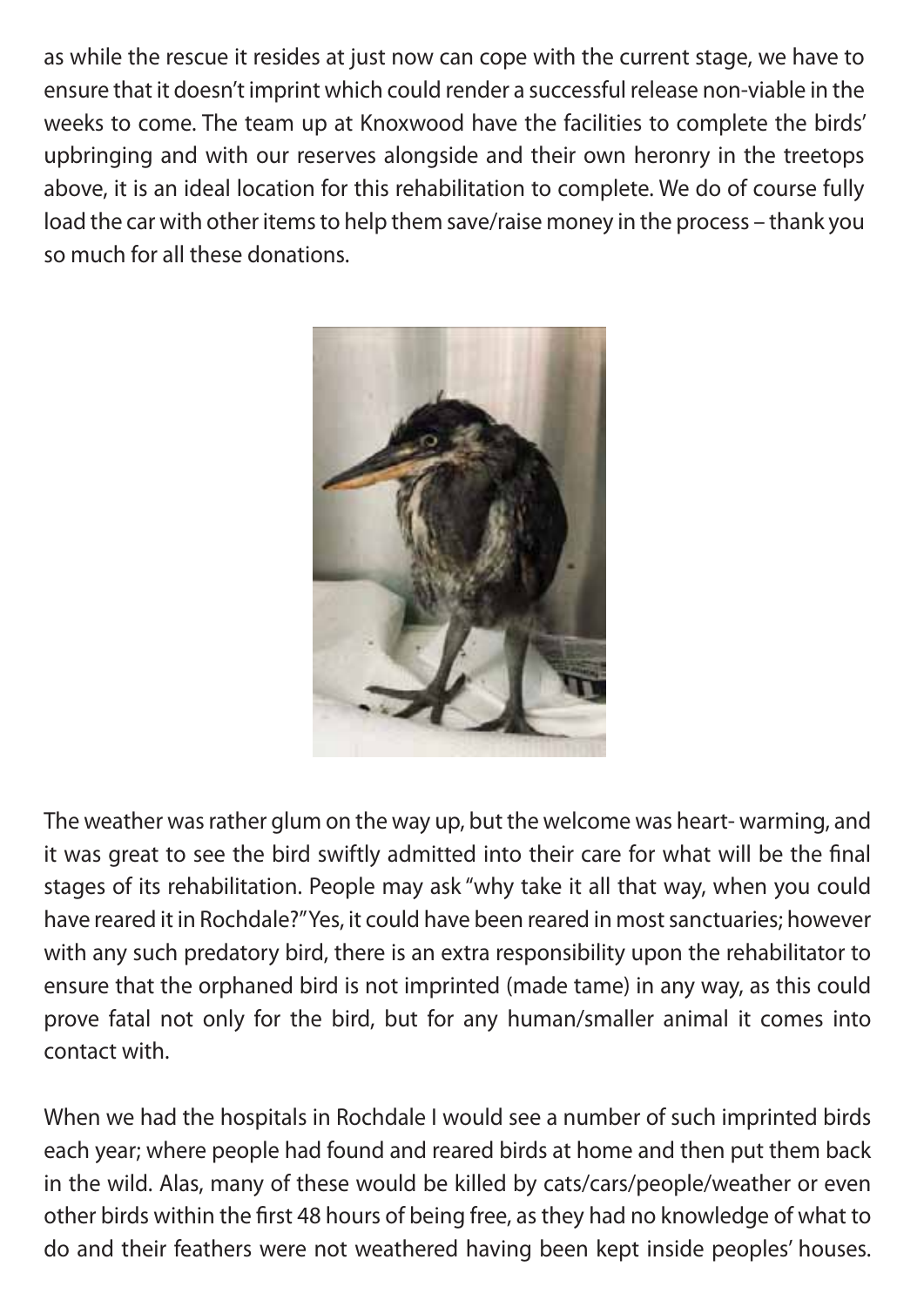as while the rescue it resides at just now can cope with the current stage, we have to ensure that it doesn't imprint which could render a successful release non-viable in the weeks to come. The team up at Knoxwood have the facilities to complete the birds' upbringing and with our reserves alongside and their own heronry in the treetops above, it is an ideal location for this rehabilitation to complete. We do of course fully load the car with other items to help them save/raise money in the process – thank you so much for all these donations.



The weather was rather glum on the way up, but the welcome was heart- warming, and it was great to see the bird swiftly admitted into their care for what will be the final stages of its rehabilitation. People may ask "why take it all that way, when you could have reared it in Rochdale?" Yes, it could have been reared in most sanctuaries; however with any such predatory bird, there is an extra responsibility upon the rehabilitator to ensure that the orphaned bird is not imprinted (made tame) in any way, as this could prove fatal not only for the bird, but for any human/smaller animal it comes into contact with.

When we had the hospitals in Rochdale I would see a number of such imprinted birds each year; where people had found and reared birds at home and then put them back in the wild. Alas, many of these would be killed by cats/cars/people/weather or even other birds within the first 48 hours of being free, as they had no knowledge of what to do and their feathers were not weathered having been kept inside peoples' houses.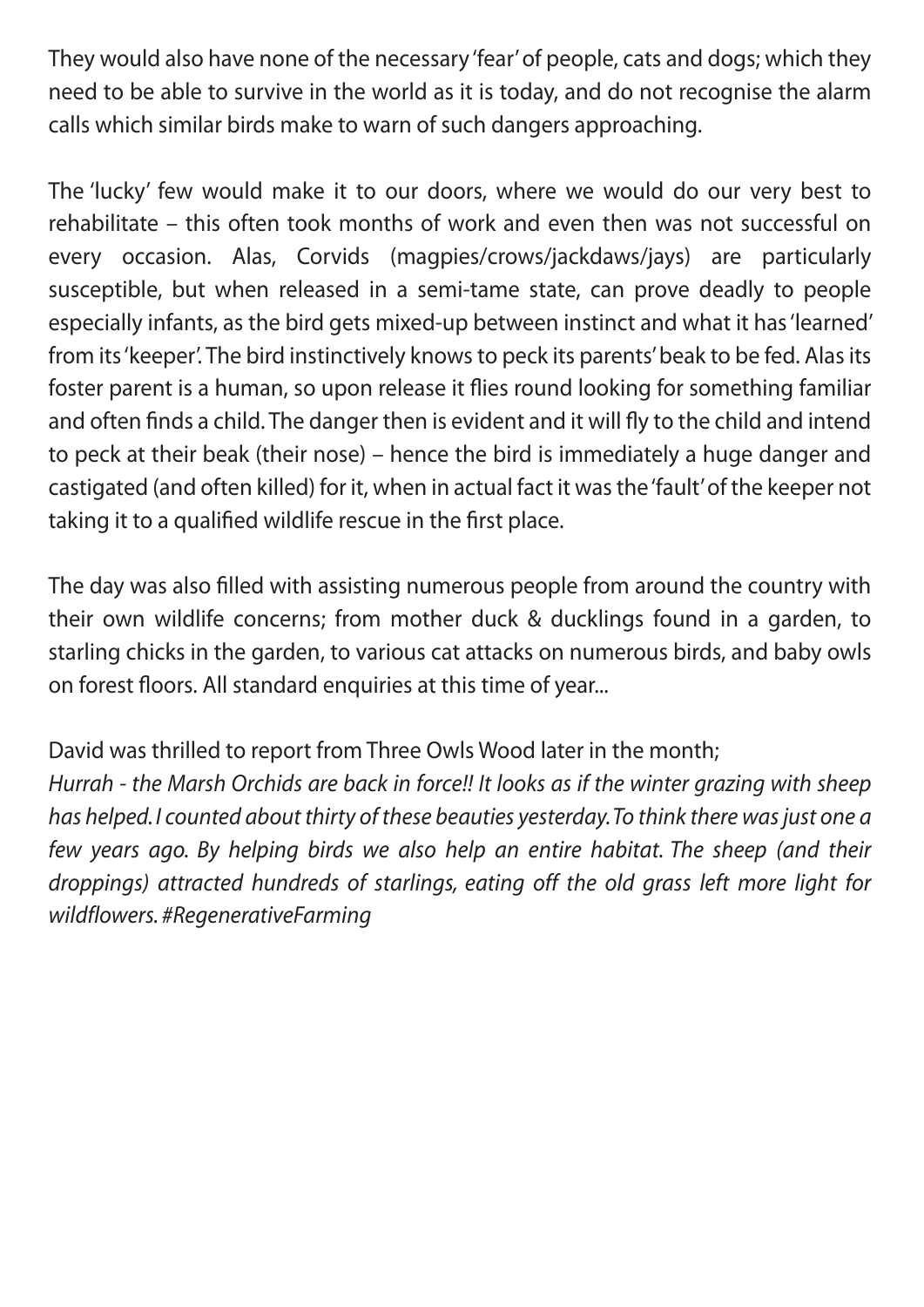They would also have none of the necessary 'fear' of people, cats and dogs; which they need to be able to survive in the world as it is today, and do not recognise the alarm calls which similar birds make to warn of such dangers approaching.

The 'lucky' few would make it to our doors, where we would do our very best to rehabilitate – this often took months of work and even then was not successful on every occasion. Alas, Corvids (magpies/crows/jackdaws/jays) are particularly susceptible, but when released in a semi-tame state, can prove deadly to people especially infants, as the bird gets mixed-up between instinct and what it has 'learned' from its 'keeper'. The bird instinctively knows to peck its parents' beak to be fed. Alas its foster parent is a human, so upon release it flies round looking for something familiar and often finds a child. The danger then is evident and it will fly to the child and intend to peck at their beak (their nose) – hence the bird is immediately a huge danger and castigated (and often killed) for it, when in actual fact it was the 'fault' of the keeper not taking it to a qualified wildlife rescue in the first place.

The day was also filled with assisting numerous people from around the country with their own wildlife concerns; from mother duck & ducklings found in a garden, to starling chicks in the garden, to various cat attacks on numerous birds, and baby owls on forest floors. All standard enquiries at this time of year...

David was thrilled to report from Three Owls Wood later in the month;

*Hurrah - the Marsh Orchids are back in force!! It looks as if the winter grazing with sheep has helped. I counted about thirty of these beauties yesterday. To think there was just one a few years ago. By helping birds we also help an entire habitat. The sheep (and their droppings) attracted hundreds of starlings, eating off the old grass left more light for wildflowers. #RegenerativeFarming*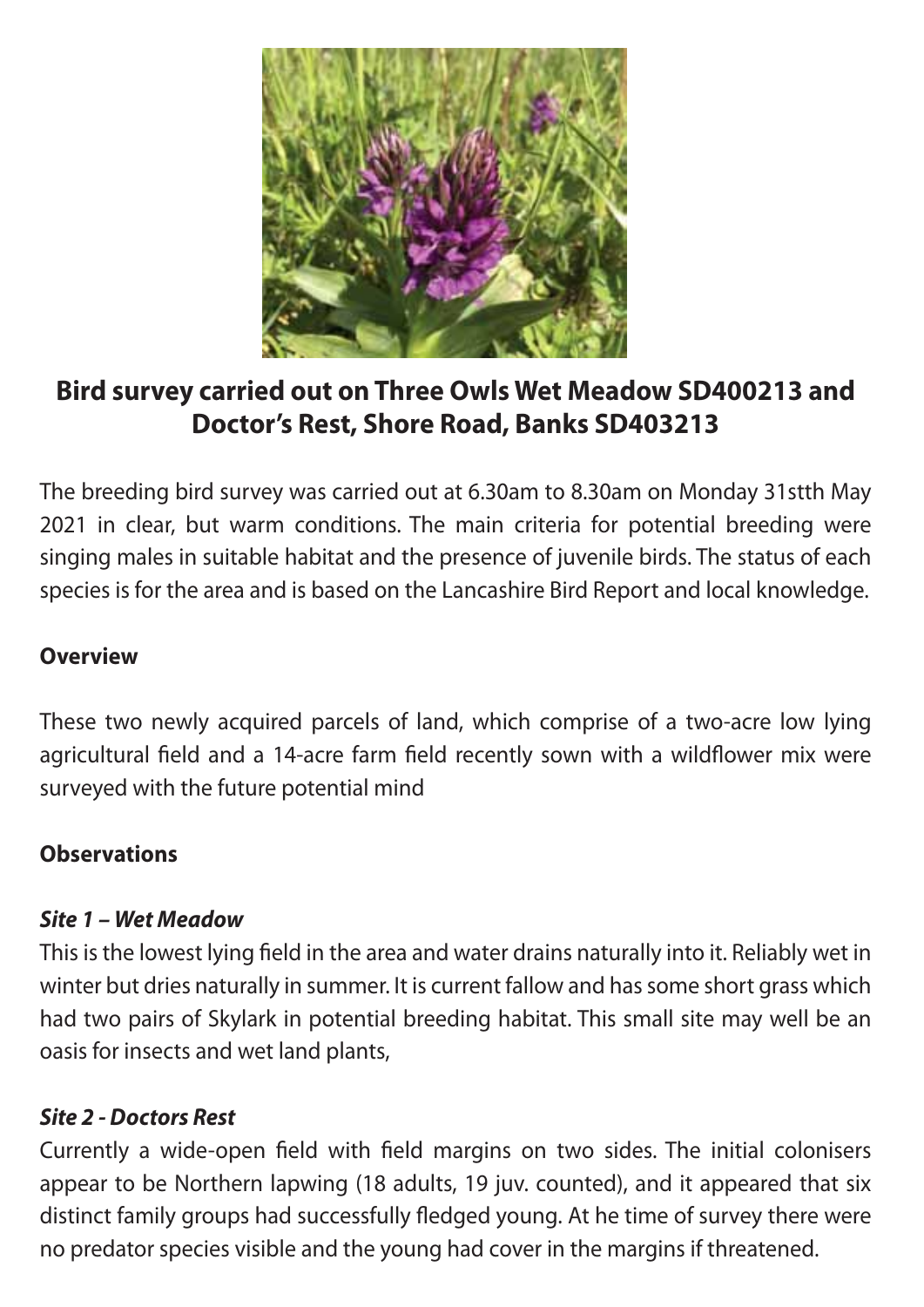

### **Bird survey carried out on Three Owls Wet Meadow SD400213 and Doctor's Rest, Shore Road, Banks SD403213**

The breeding bird survey was carried out at 6.30am to 8.30am on Monday 31stth May 2021 in clear, but warm conditions. The main criteria for potential breeding were singing males in suitable habitat and the presence of juvenile birds. The status of each species is for the area and is based on the Lancashire Bird Report and local knowledge.

#### **Overview**

These two newly acquired parcels of land, which comprise of a two-acre low lying agricultural field and a 14-acre farm field recently sown with a wildflower mix were surveyed with the future potential mind

#### **Observations**

#### *Site 1 – Wet Meadow*

This is the lowest lying field in the area and water drains naturally into it. Reliably wet in winter but dries naturally in summer. It is current fallow and has some short grass which had two pairs of Skylark in potential breeding habitat. This small site may well be an oasis for insects and wet land plants,

#### *Site 2 - Doctors Rest*

Currently a wide-open field with field margins on two sides. The initial colonisers appear to be Northern lapwing (18 adults, 19 juv. counted), and it appeared that six distinct family groups had successfully fledged young. At he time of survey there were no predator species visible and the young had cover in the margins if threatened.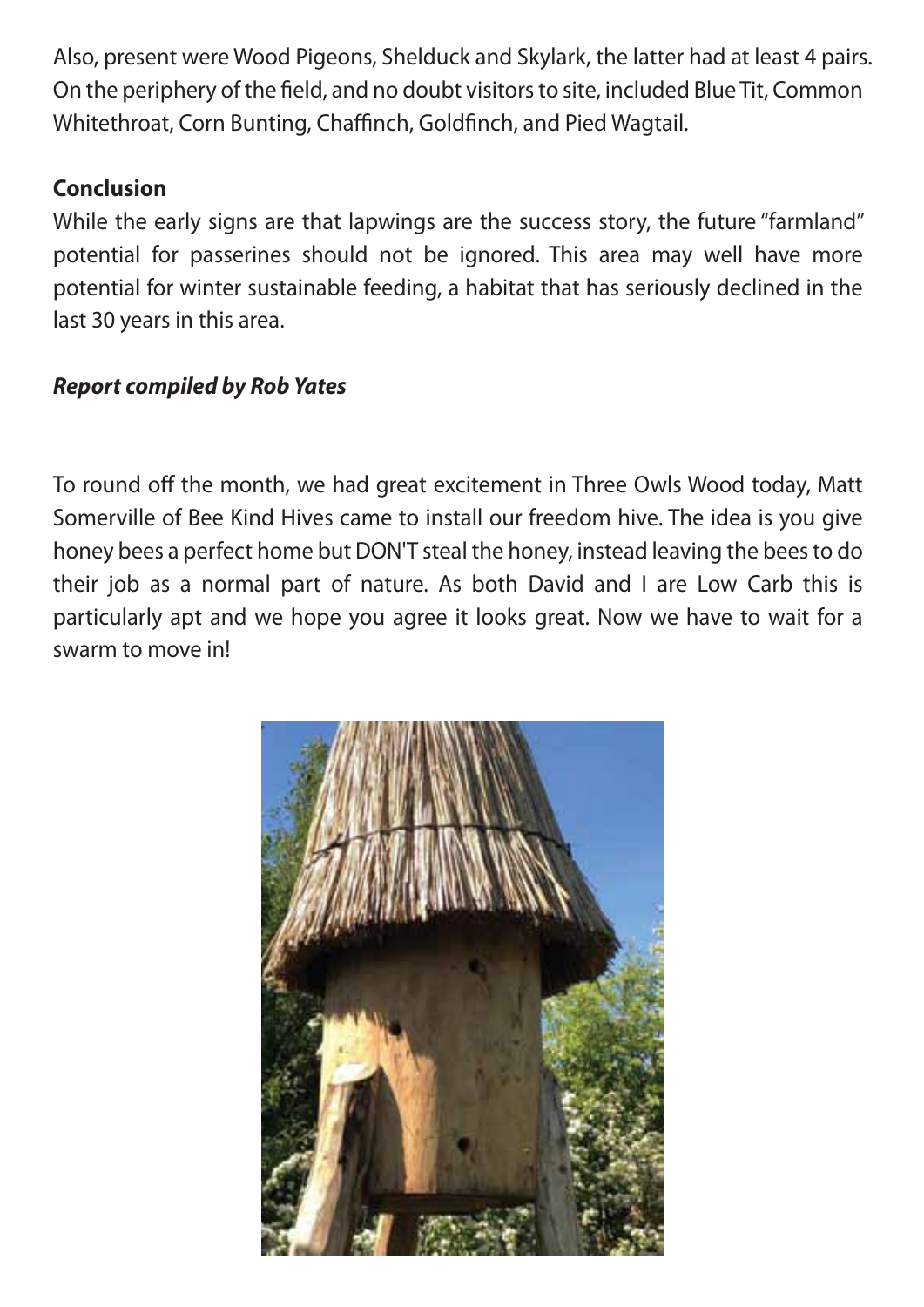Also, present were Wood Pigeons, Shelduck and Skylark, the latter had at least 4 pairs. On the periphery of the field, and no doubt visitors to site, included Blue Tit, Common Whitethroat, Corn Bunting, Chaffinch, Goldfinch, and Pied Wagtail.

#### **Conclusion**

While the early signs are that lapwings are the success story, the future "farmland" potential for passerines should not be ignored. This area may well have more potential for winter sustainable feeding, a habitat that has seriously declined in the last 30 years in this area.

#### *Report compiled by Rob Yates*

To round off the month, we had great excitement in Three Owls Wood today, Matt Somerville of Bee Kind Hives came to install our freedom hive. The idea is you give honey bees a perfect home but DON'T steal the honey, instead leaving the bees to do their job as a normal part of nature. As both David and I are Low Carb this is particularly apt and we hope you agree it looks great. Now we have to wait for a swarm to move in!

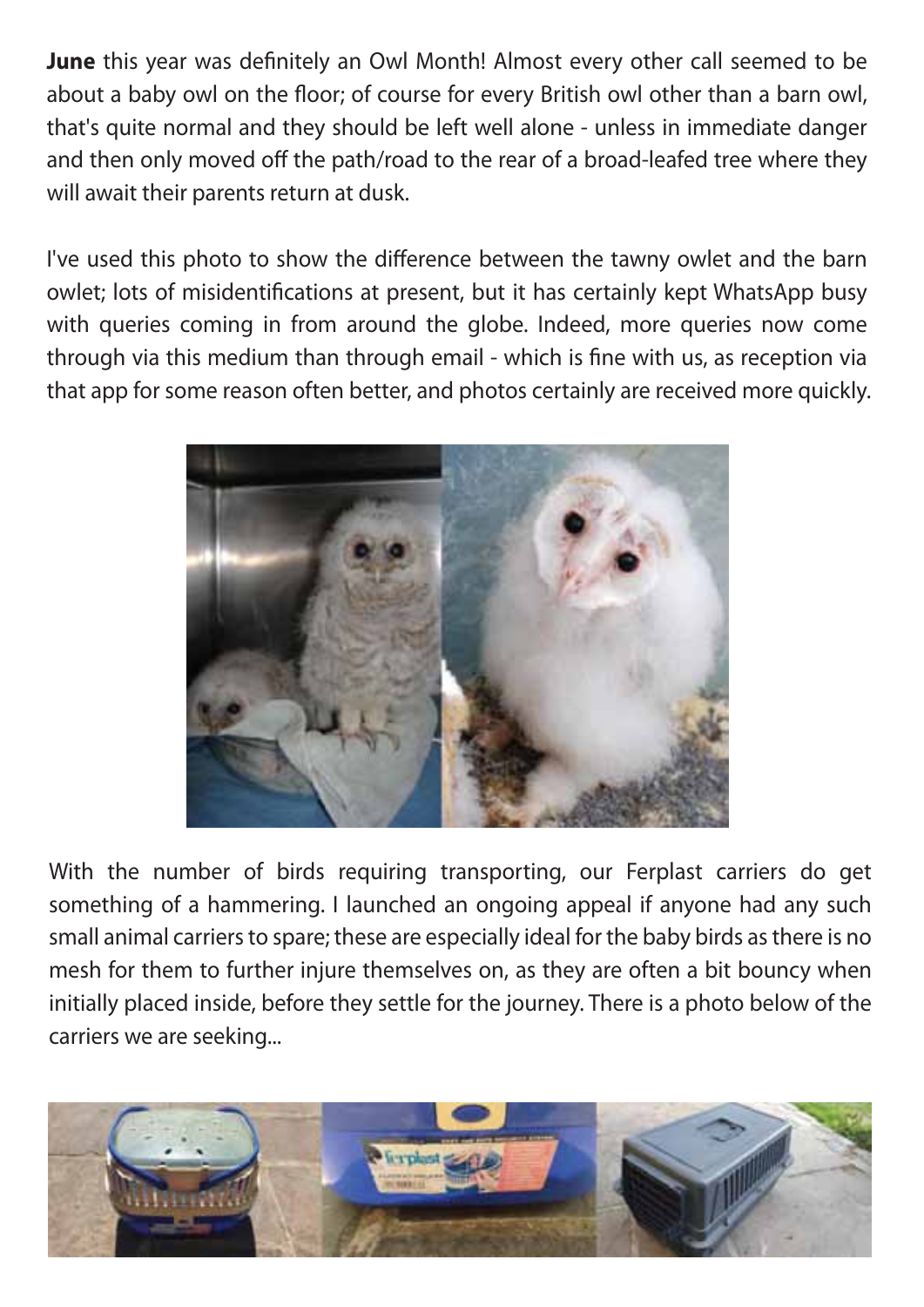**June** this year was definitely an Owl Month! Almost every other call seemed to be about a baby owl on the floor; of course for every British owl other than a barn owl, that's quite normal and they should be left well alone - unless in immediate danger and then only moved off the path/road to the rear of a broad-leafed tree where they will await their parents return at dusk.

I've used this photo to show the difference between the tawny owlet and the barn owlet; lots of misidentifications at present, but it has certainly kept WhatsApp busy with queries coming in from around the globe. Indeed, more queries now come through via this medium than through email - which is fine with us, as reception via that app for some reason often better, and photos certainly are received more quickly.



With the number of birds requiring transporting, our Ferplast carriers do get something of a hammering. I launched an ongoing appeal if anyone had any such small animal carriers to spare; these are especially ideal for the baby birds as there is no mesh for them to further injure themselves on, as they are often a bit bouncy when initially placed inside, before they settle for the journey. There is a photo below of the carriers we are seeking...

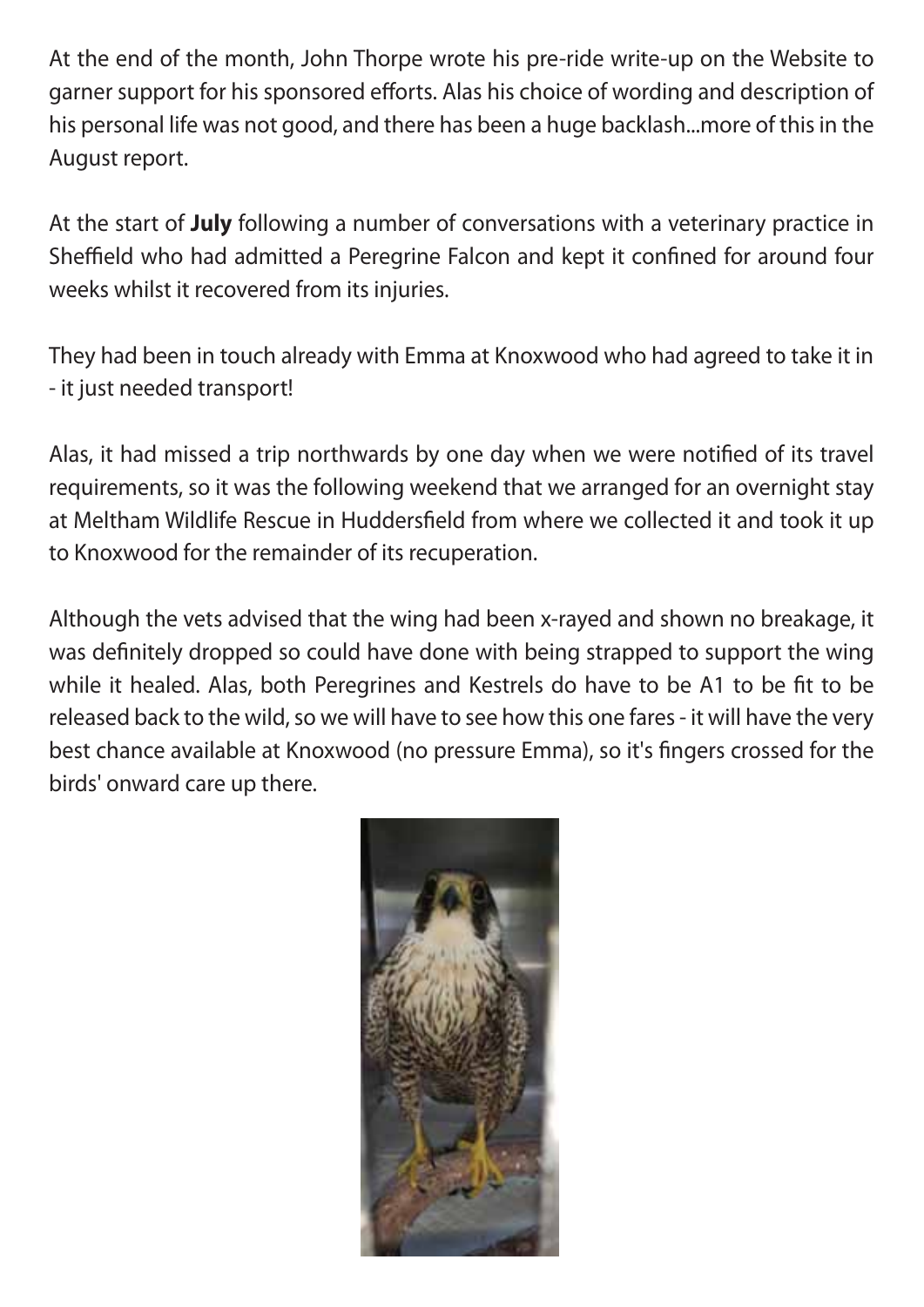At the end of the month, John Thorpe wrote his pre-ride write-up on the Website to garner support for his sponsored efforts. Alas his choice of wording and description of his personal life was not good, and there has been a huge backlash...more of this in the August report.

At the start of **July** following a number of conversations with a veterinary practice in Sheffield who had admitted a Peregrine Falcon and kept it confined for around four weeks whilst it recovered from its injuries.

They had been in touch already with Emma at Knoxwood who had agreed to take it in - it just needed transport!

Alas, it had missed a trip northwards by one day when we were notified of its travel requirements, so it was the following weekend that we arranged for an overnight stay at Meltham Wildlife Rescue in Huddersfield from where we collected it and took it up to Knoxwood for the remainder of its recuperation.

Although the vets advised that the wing had been x-rayed and shown no breakage, it was definitely dropped so could have done with being strapped to support the wing while it healed. Alas, both Peregrines and Kestrels do have to be A1 to be fit to be released back to the wild, so we will have to see how this one fares - it will have the very best chance available at Knoxwood (no pressure Emma), so it's fingers crossed for the birds' onward care up there.

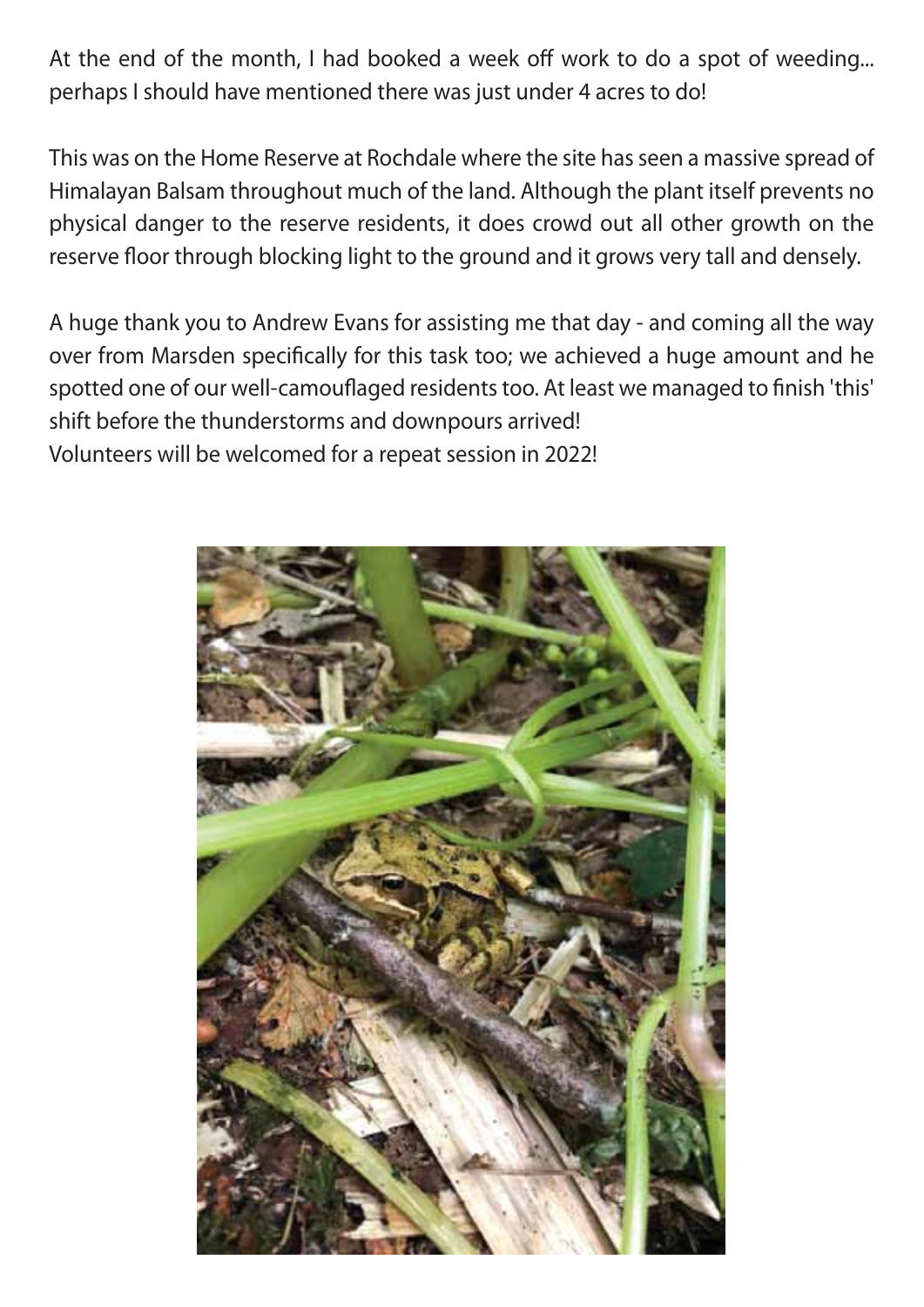At the end of the month, I had booked a week off work to do a spot of weeding... perhaps I should have mentioned there was just under 4 acres to do!

This was on the Home Reserve at Rochdale where the site has seen a massive spread of Himalayan Balsam throughout much of the land. Although the plant itself prevents no physical danger to the reserve residents, it does crowd out all other growth on the reserve floor through blocking light to the ground and it grows very tall and densely.

A huge thank you to Andrew Evans for assisting me that day - and coming all the way over from Marsden specifically for this task too; we achieved a huge amount and he spotted one of our well-camouflaged residents too. At least we managed to finish 'this' shift before the thunderstorms and downpours arrived! Volunteers will be welcomed for a repeat session in 2022!

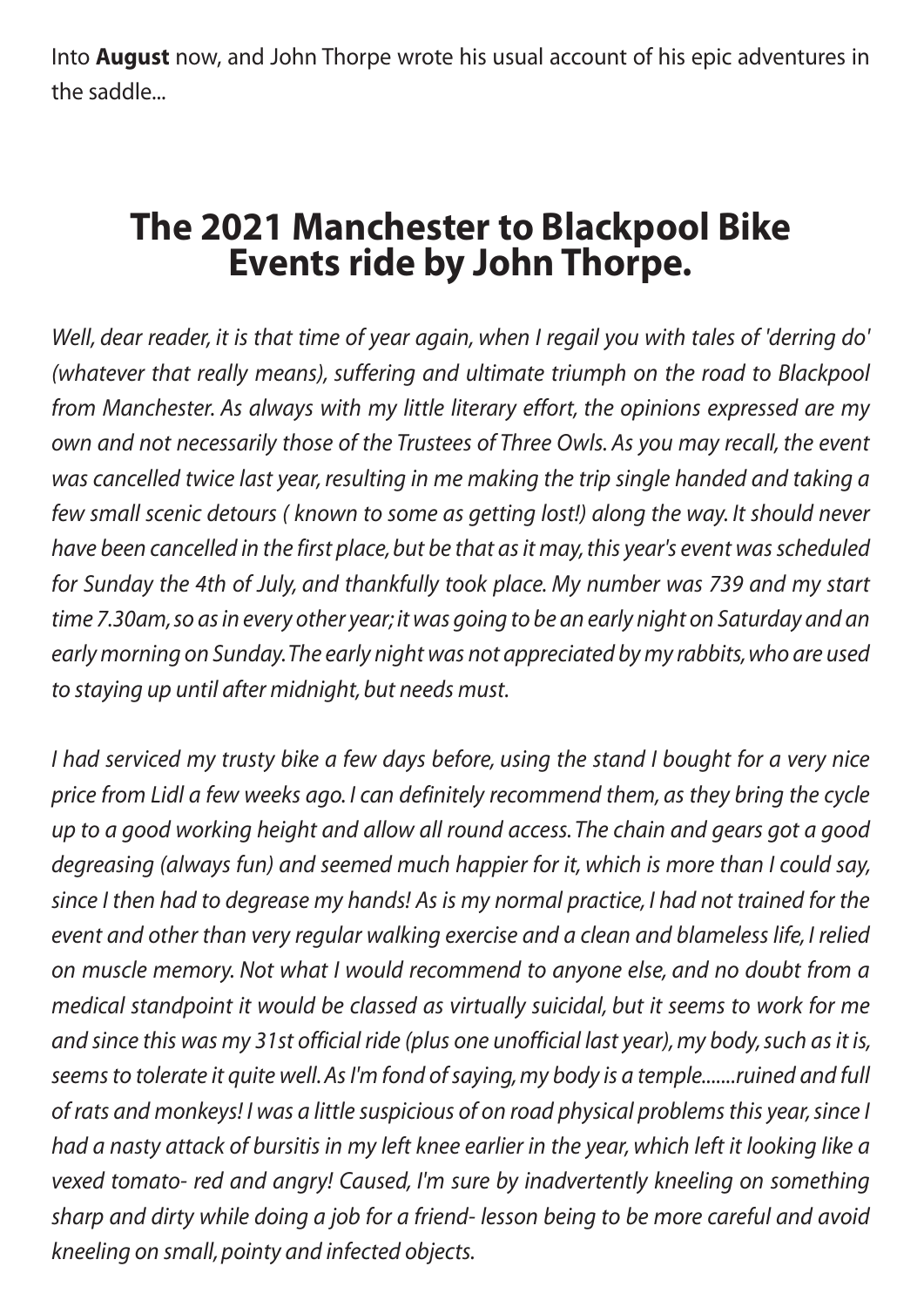Into **August** now, and John Thorpe wrote his usual account of his epic adventures in the saddle...

# **The 2021 Manchester to Blackpool Bike Events ride by John Thorpe.**

*Well, dear reader, it is that time of year again, when I regail you with tales of 'derring do' (whatever that really means), suffering and ultimate triumph on the road to Blackpool from Manchester. As always with my little literary effort, the opinions expressed are my own and not necessarily those of the Trustees of Three Owls. As you may recall, the event was cancelled twice last year, resulting in me making the trip single handed and taking a few small scenic detours ( known to some as getting lost!) along the way. It should never have been cancelled in the first place, but be that as it may, this year's event was scheduled for Sunday the 4th of July, and thankfully took place. My number was 739 and my start time 7.30am, so as in every other year; it was going to be an early night on Saturday and an early morning on Sunday. The early night was not appreciated by my rabbits, who are used to staying up until after midnight, but needs must.*

*I had serviced my trusty bike a few days before, using the stand I bought for a very nice price from Lidl a few weeks ago. I can definitely recommend them, as they bring the cycle up to a good working height and allow all round access. The chain and gears got a good degreasing (always fun) and seemed much happier for it, which is more than I could say, since I then had to degrease my hands! As is my normal practice, I had not trained for the event and other than very regular walking exercise and a clean and blameless life, I relied on muscle memory. Not what I would recommend to anyone else, and no doubt from a medical standpoint it would be classed as virtually suicidal, but it seems to work for me and since this was my 31st official ride (plus one unofficial last year), my body, such as it is, seems to tolerate it quite well. As I'm fond of saying, my body is a temple.......ruined and full of rats and monkeys! I was a little suspicious of on road physical problems this year, since I had a nasty attack of bursitis in my left knee earlier in the year, which left it looking like a vexed tomato- red and angry! Caused, I'm sure by inadvertently kneeling on something sharp and dirty while doing a job for a friend- lesson being to be more careful and avoid kneeling on small, pointy and infected objects.*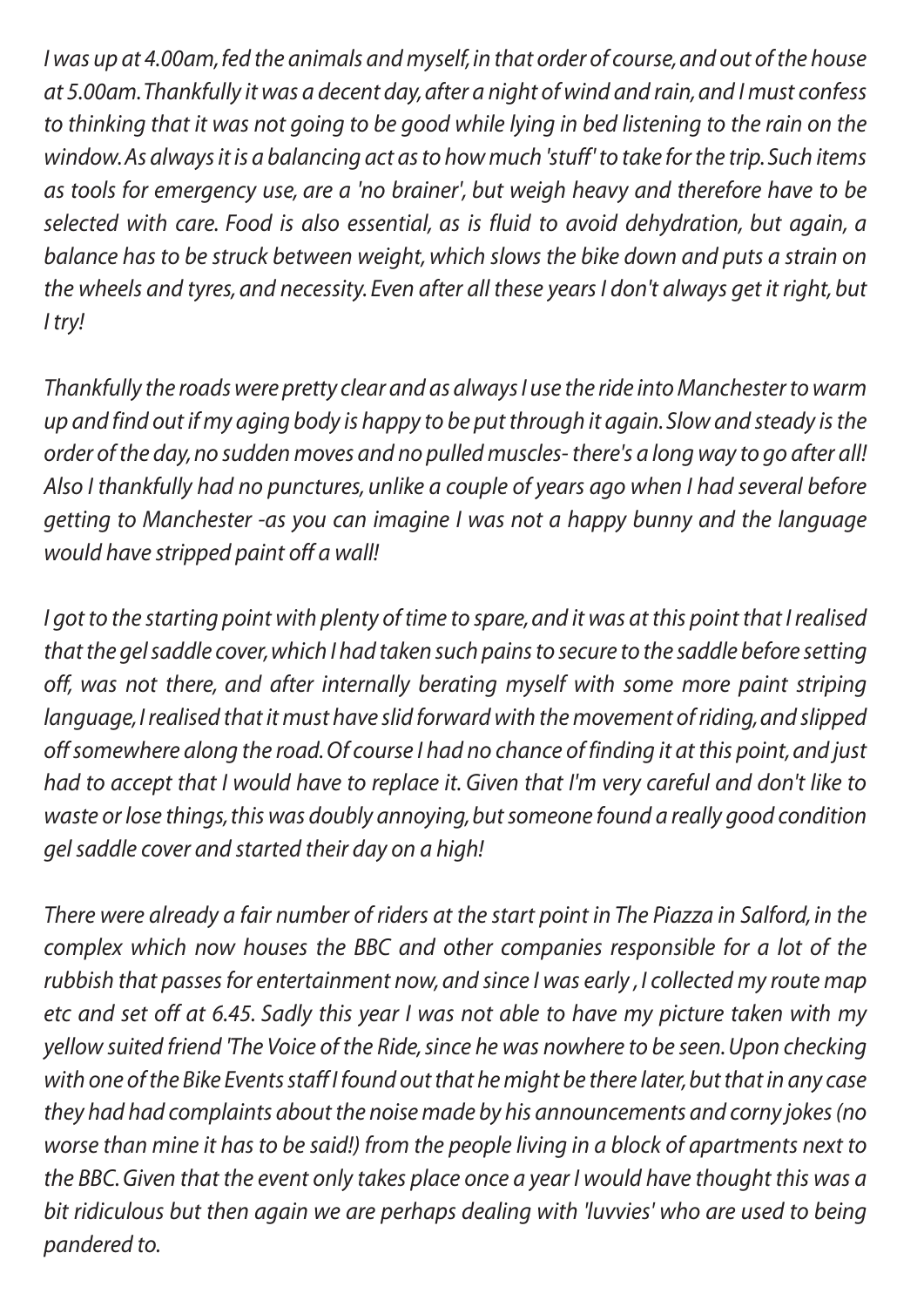*I was up at 4.00am, fed the animals and myself, in that order of course, and out of the house at 5.00am. Thankfully it was a decent day, after a night of wind and rain, and I must confess to thinking that it was not going to be good while lying in bed listening to the rain on the window. As always it is a balancing act as to how much 'stuff' to take for the trip. Such items as tools for emergency use, are a 'no brainer', but weigh heavy and therefore have to be selected with care. Food is also essential, as is fluid to avoid dehydration, but again, a balance has to be struck between weight, which slows the bike down and puts a strain on the wheels and tyres, and necessity. Even after all these years I don't always get it right, but I try!*

*Thankfully the roads were pretty clear and as always I use the ride into Manchester to warm up and find out if my aging body is happy to be put through it again. Slow and steady is the order of the day, no sudden moves and no pulled muscles- there's a long way to go after all! Also I thankfully had no punctures, unlike a couple of years ago when I had several before getting to Manchester -as you can imagine I was not a happy bunny and the language would have stripped paint off a wall!*

*I got to the starting point with plenty of time to spare, and it was at this point that I realised that the gel saddle cover, which I had taken such pains to secure to the saddle before setting off, was not there, and after internally berating myself with some more paint striping language, I realised that it must have slid forward with the movement of riding, and slipped off somewhere along the road. Of course I had no chance of finding it at this point, and just had to accept that I would have to replace it. Given that I'm very careful and don't like to waste or lose things, this was doubly annoying, but someone found a really good condition gel saddle cover and started their day on a high!*

*There were already a fair number of riders at the start point in The Piazza in Salford, in the complex which now houses the BBC and other companies responsible for a lot of the rubbish that passes for entertainment now, and since I was early , I collected my route map etc and set off at 6.45. Sadly this year I was not able to have my picture taken with my yellow suited friend 'The Voice of the Ride, since he was nowhere to be seen. Upon checking with one of the Bike Events staff I found out that he might be there later, but that in any case they had had complaints about the noise made by his announcements and corny jokes (no worse than mine it has to be said!) from the people living in a block of apartments next to the BBC. Given that the event only takes place once a year I would have thought this was a bit ridiculous but then again we are perhaps dealing with 'luvvies' who are used to being pandered to.*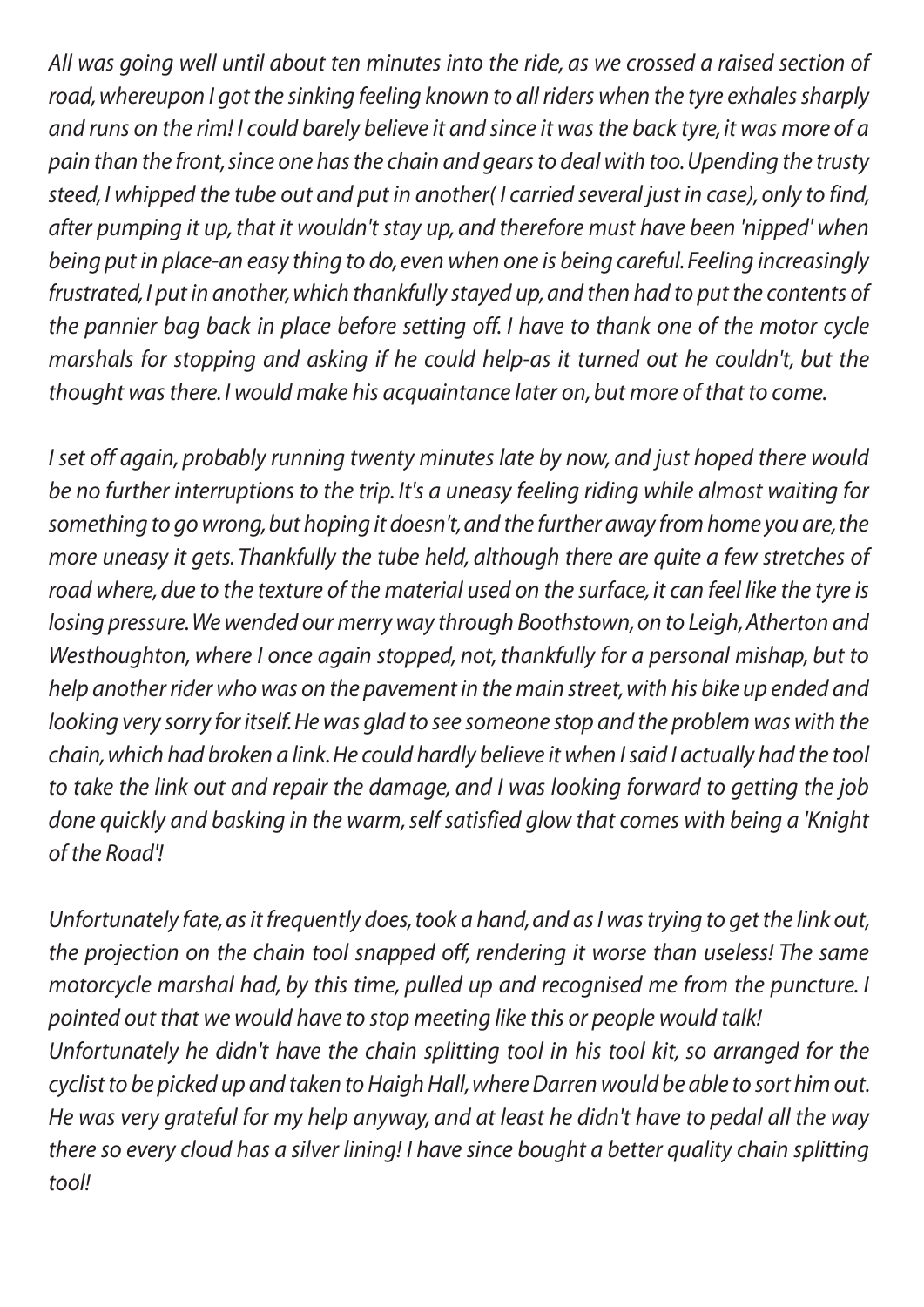*All was going well until about ten minutes into the ride, as we crossed a raised section of road, whereupon I got the sinking feeling known to all riders when the tyre exhales sharply and runs on the rim! I could barely believe it and since it was the back tyre, it was more of a pain than the front, since one has the chain and gears to deal with too. Upending the trusty steed, I whipped the tube out and put in another( I carried several just in case), only to find, after pumping it up, that it wouldn't stay up, and therefore must have been 'nipped' when being put in place-an easy thing to do, even when one is being careful. Feeling increasingly frustrated, I put in another, which thankfully stayed up, and then had to put the contents of the pannier bag back in place before setting off. I have to thank one of the motor cycle marshals for stopping and asking if he could help-as it turned out he couldn't, but the thought was there. I would make his acquaintance later on, but more of that to come.*

*I set off again, probably running twenty minutes late by now, and just hoped there would be no further interruptions to the trip. It's a uneasy feeling riding while almost waiting for something to go wrong, but hoping it doesn't, and the further away from home you are, the more uneasy it gets. Thankfully the tube held, although there are quite a few stretches of road where, due to the texture of the material used on the surface, it can feel like the tyre is losing pressure. We wended our merry way through Boothstown, on to Leigh, Atherton and Westhoughton, where I once again stopped, not, thankfully for a personal mishap, but to help another rider who was on the pavement in the main street, with his bike up ended and looking very sorry for itself. He was glad to see someone stop and the problem was with the chain, which had broken a link. He could hardly believe it when I said I actually had the tool to take the link out and repair the damage, and I was looking forward to getting the job done quickly and basking in the warm, self satisfied glow that comes with being a 'Knight of the Road'!*

*Unfortunately fate, as it frequently does, took a hand, and as I was trying to get the link out, the projection on the chain tool snapped off, rendering it worse than useless! The same motorcycle marshal had, by this time, pulled up and recognised me from the puncture. I pointed out that we would have to stop meeting like this or people would talk! Unfortunately he didn't have the chain splitting tool in his tool kit, so arranged for the cyclist to be picked up and taken to Haigh Hall, where Darren would be able to sort him out. He was very grateful for my help anyway, and at least he didn't have to pedal all the way there so every cloud has a silver lining! I have since bought a better quality chain splitting tool!*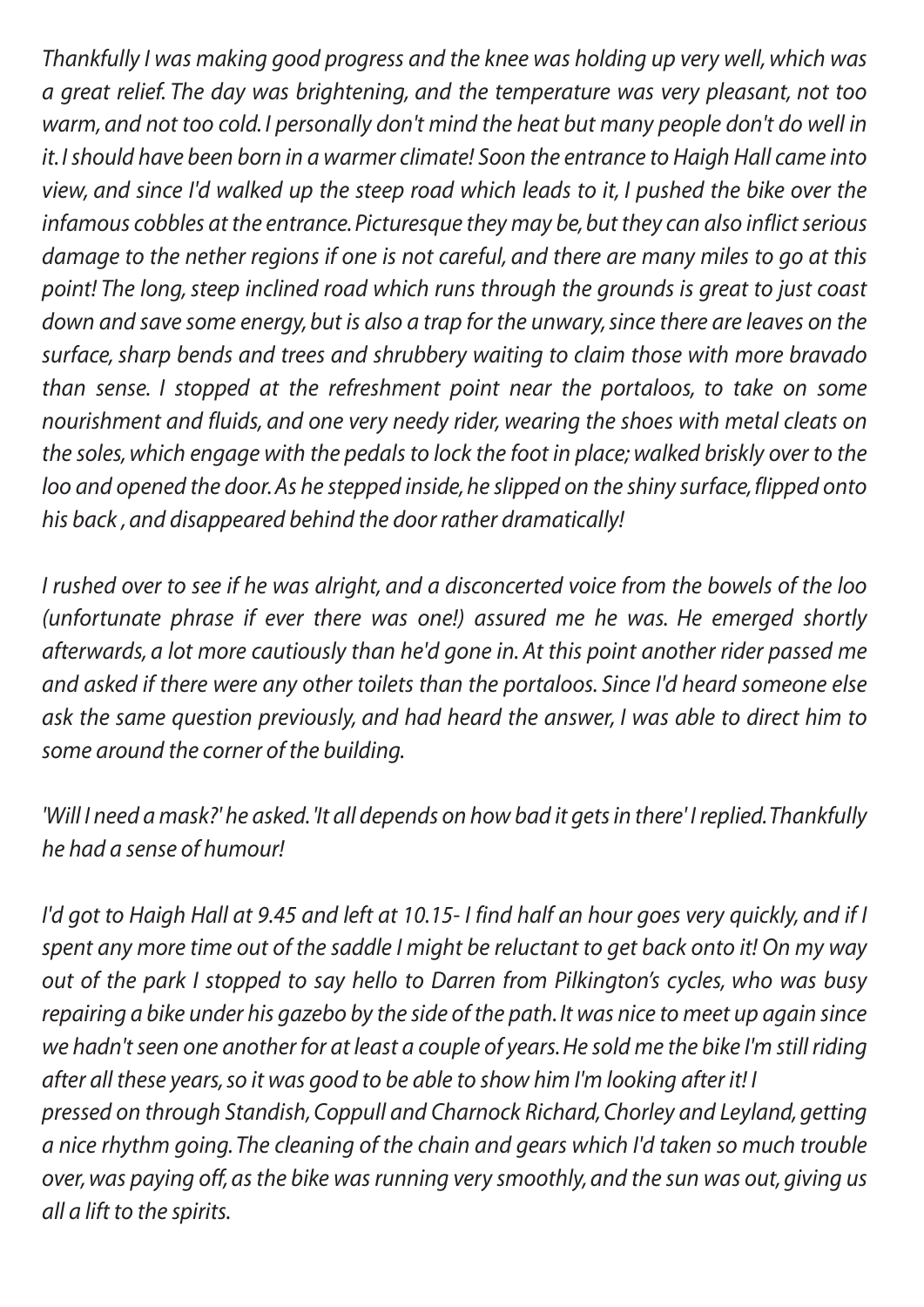*Thankfully I was making good progress and the knee was holding up very well, which was a great relief. The day was brightening, and the temperature was very pleasant, not too warm, and not too cold. I personally don't mind the heat but many people don't do well in it. I should have been born in a warmer climate! Soon the entrance to Haigh Hall came into view, and since I'd walked up the steep road which leads to it, I pushed the bike over the infamous cobbles at the entrance. Picturesque they may be, but they can also inflict serious damage to the nether regions if one is not careful, and there are many miles to go at this point! The long, steep inclined road which runs through the grounds is great to just coast down and save some energy, but is also a trap for the unwary, since there are leaves on the surface, sharp bends and trees and shrubbery waiting to claim those with more bravado than sense. I stopped at the refreshment point near the portaloos, to take on some nourishment and fluids, and one very needy rider, wearing the shoes with metal cleats on the soles, which engage with the pedals to lock the foot in place; walked briskly over to the loo and opened the door. As he stepped inside, he slipped on the shiny surface, flipped onto his back , and disappeared behind the door rather dramatically!*

*I rushed over to see if he was alright, and a disconcerted voice from the bowels of the loo (unfortunate phrase if ever there was one!) assured me he was. He emerged shortly afterwards, a lot more cautiously than he'd gone in. At this point another rider passed me and asked if there were any other toilets than the portaloos. Since I'd heard someone else ask the same question previously, and had heard the answer, I was able to direct him to some around the corner of the building.*

*'Will I need a mask?' he asked. 'It all depends on how bad it gets in there' I replied. Thankfully he had a sense of humour!*

*I'd got to Haigh Hall at 9.45 and left at 10.15- I find half an hour goes very quickly, and if I spent any more time out of the saddle I might be reluctant to get back onto it! On my way out of the park I stopped to say hello to Darren from Pilkington's cycles, who was busy repairing a bike under his gazebo by the side of the path. It was nice to meet up again since we hadn't seen one another for at least a couple of years. He sold me the bike I'm still riding after all these years, so it was good to be able to show him I'm looking after it! I pressed on through Standish, Coppull and Charnock Richard, Chorley and Leyland, getting a nice rhythm going. The cleaning of the chain and gears which I'd taken so much trouble over, was paying off, as the bike was running very smoothly, and the sun was out, giving us all a lift to the spirits.*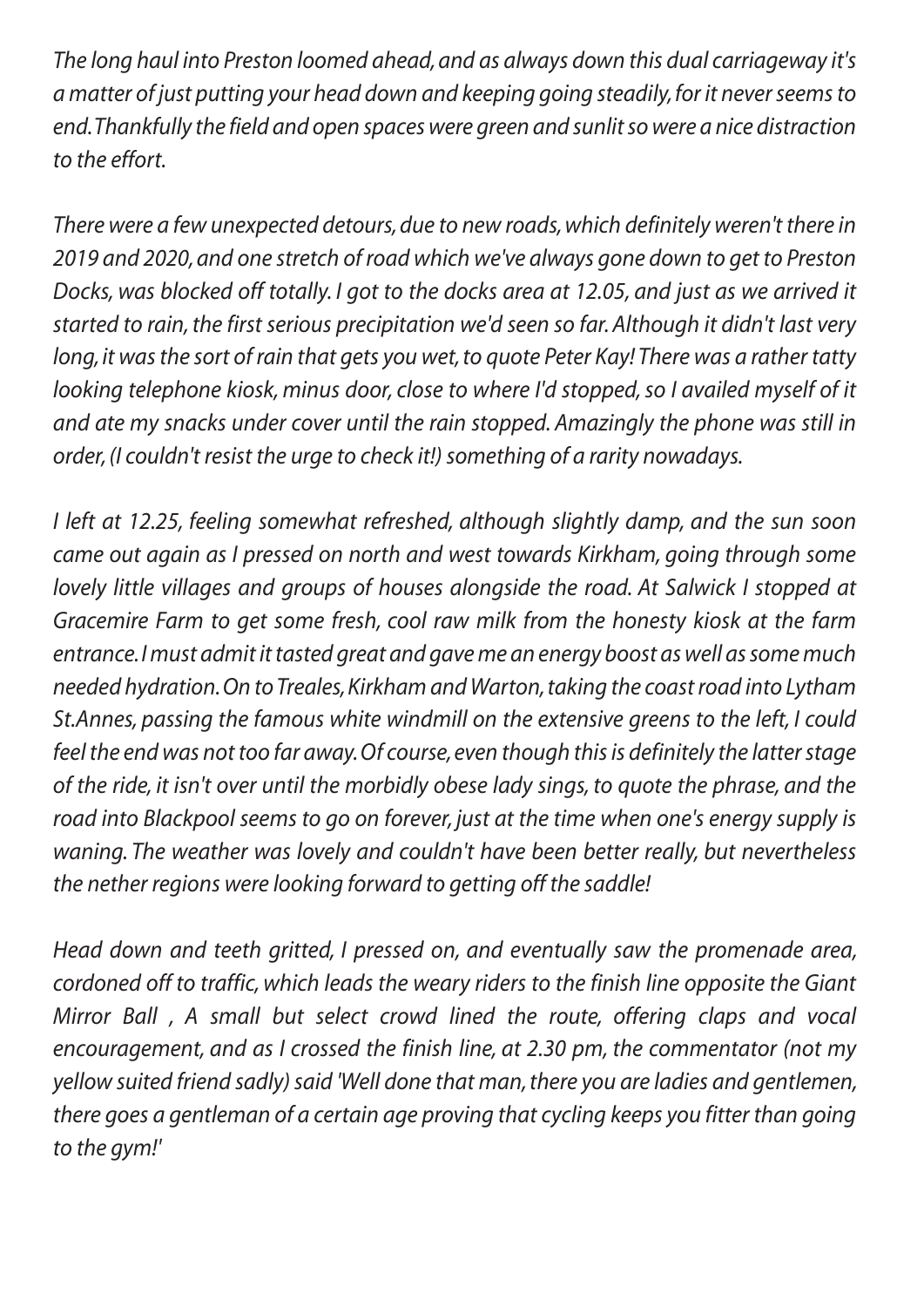*The long haul into Preston loomed ahead, and as always down this dual carriageway it's a matter of just putting your head down and keeping going steadily, for it never seems to end. Thankfully the field and open spaces were green and sunlit so were a nice distraction to the effort.*

*There were a few unexpected detours, due to new roads, which definitely weren't there in 2019 and 2020, and one stretch of road which we've always gone down to get to Preston Docks, was blocked off totally. I got to the docks area at 12.05, and just as we arrived it started to rain, the first serious precipitation we'd seen so far. Although it didn't last very long, it was the sort of rain that gets you wet, to quote Peter Kay! There was a rather tatty looking telephone kiosk, minus door, close to where I'd stopped, so I availed myself of it and ate my snacks under cover until the rain stopped. Amazingly the phone was still in order, (I couldn't resist the urge to check it!) something of a rarity nowadays.*

*I left at 12.25, feeling somewhat refreshed, although slightly damp, and the sun soon came out again as I pressed on north and west towards Kirkham, going through some lovely little villages and groups of houses alongside the road. At Salwick I stopped at Gracemire Farm to get some fresh, cool raw milk from the honesty kiosk at the farm entrance. I must admit it tasted great and gave me an energy boost as well as some much needed hydration. On to Treales, Kirkham and Warton, taking the coast road into Lytham St.Annes, passing the famous white windmill on the extensive greens to the left, I could feel the end was not too far away. Of course, even though this is definitely the latter stage of the ride, it isn't over until the morbidly obese lady sings, to quote the phrase, and the road into Blackpool seems to go on forever, just at the time when one's energy supply is waning. The weather was lovely and couldn't have been better really, but nevertheless the nether regions were looking forward to getting off the saddle!*

*Head down and teeth gritted, I pressed on, and eventually saw the promenade area, cordoned off to traffic, which leads the weary riders to the finish line opposite the Giant Mirror Ball , A small but select crowd lined the route, offering claps and vocal encouragement, and as I crossed the finish line, at 2.30 pm, the commentator (not my yellow suited friend sadly) said 'Well done that man, there you are ladies and gentlemen, there goes a gentleman of a certain age proving that cycling keeps you fitter than going to the gym!'*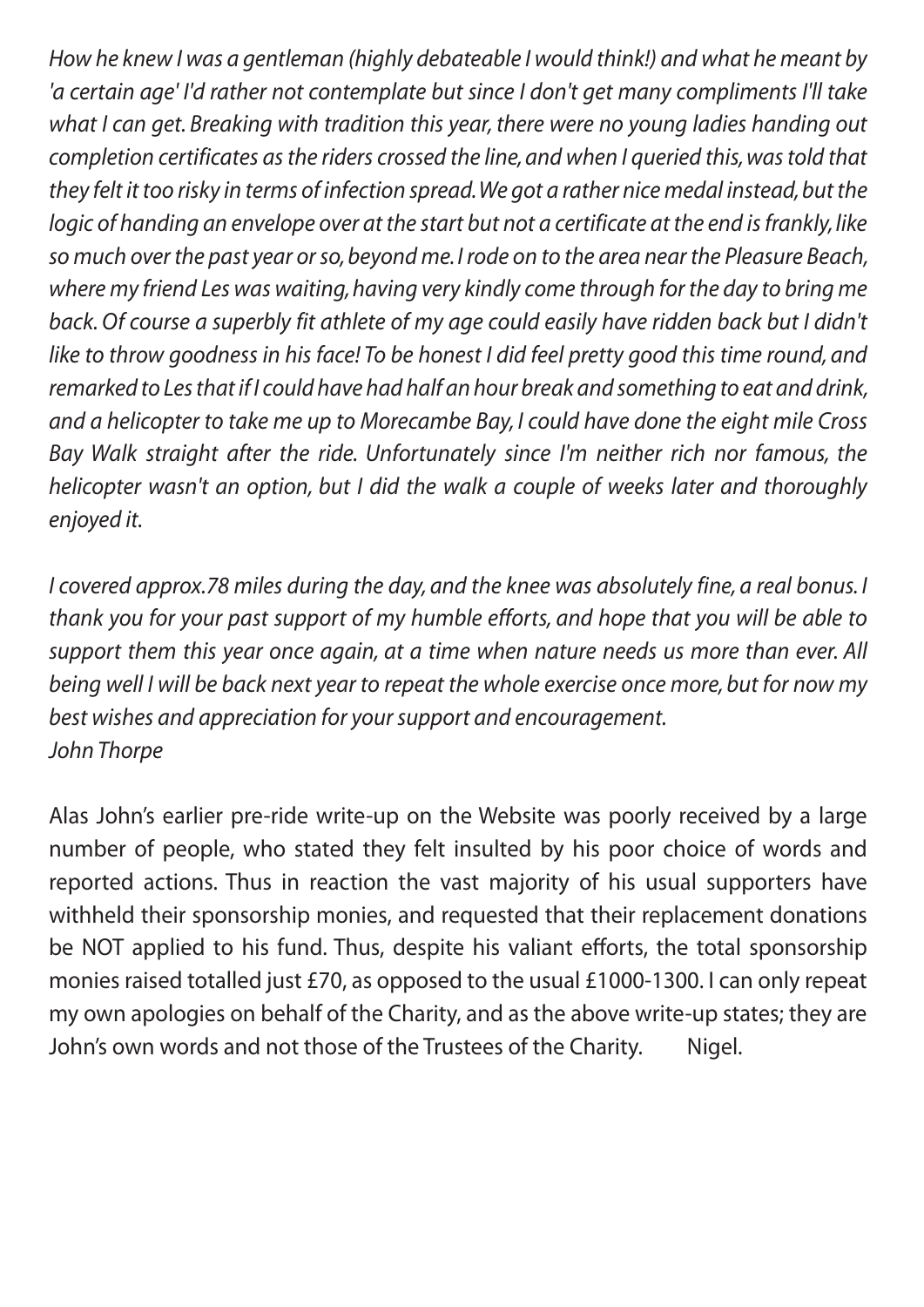*How he knew I was a gentleman (highly debateable I would think!) and what he meant by 'a certain age' I'd rather not contemplate but since I don't get many compliments I'll take what I can get. Breaking with tradition this year, there were no young ladies handing out completion certificates as the riders crossed the line, and when I queried this, was told that they felt it too risky in terms of infection spread. We got a rather nice medal instead, but the logic of handing an envelope over at the start but not a certificate at the end is frankly, like so much over the past year or so, beyond me. I rode on to the area near the Pleasure Beach, where my friend Les was waiting, having very kindly come through for the day to bring me*  back. Of course a superbly fit athlete of my age could easily have ridden back but I didn't *like to throw goodness in his face! To be honest I did feel pretty good this time round, and remarked to Les that if I could have had half an hour break and something to eat and drink, and a helicopter to take me up to Morecambe Bay, I could have done the eight mile Cross Bay Walk straight after the ride. Unfortunately since I'm neither rich nor famous, the helicopter wasn't an option, but I did the walk a couple of weeks later and thoroughly enjoyed it.*

*I* covered approx.78 miles during the day, and the knee was absolutely fine, a real bonus. I *thank you for your past support of my humble efforts, and hope that you will be able to support them this year once again, at a time when nature needs us more than ever. All being well I will be back next year to repeat the whole exercise once more, but for now my best wishes and appreciation for your support and encouragement. John Thorpe*

Alas John's earlier pre-ride write-up on the Website was poorly received by a large number of people, who stated they felt insulted by his poor choice of words and reported actions. Thus in reaction the vast majority of his usual supporters have withheld their sponsorship monies, and requested that their replacement donations be NOT applied to his fund. Thus, despite his valiant efforts, the total sponsorship monies raised totalled just £70, as opposed to the usual £1000-1300. I can only repeat my own apologies on behalf of the Charity, and as the above write-up states; they are John's own words and not those of the Trustees of the Charity. Nigel.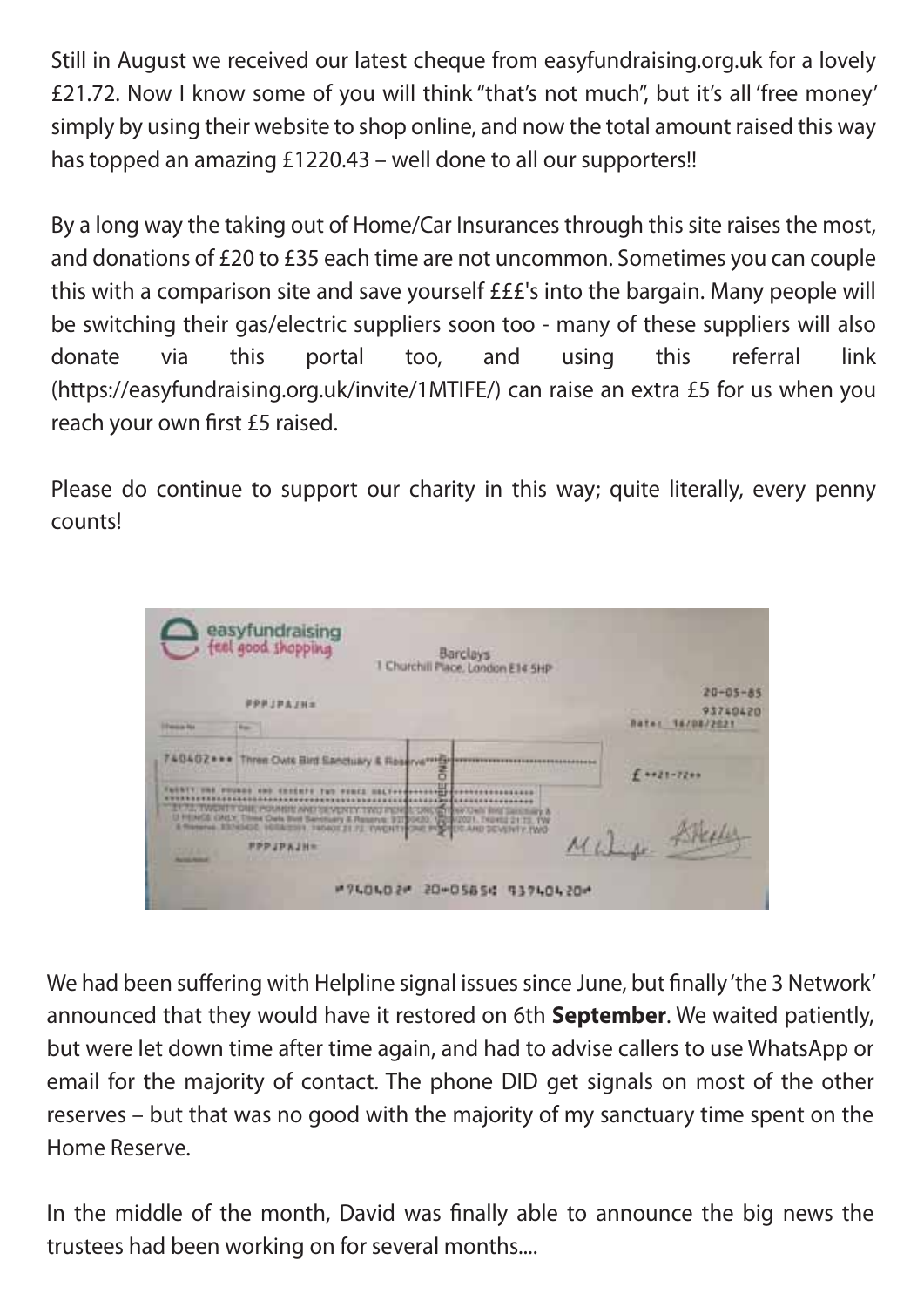Still in August we received our latest cheque from easyfundraising.org.uk for a lovely £21.72. Now I know some of you will think "that's not much", but it's all 'free money' simply by using their website to shop online, and now the total amount raised this way has topped an amazing £1220.43 – well done to all our supporters!!

By a long way the taking out of Home/Car Insurances through this site raises the most, and donations of £20 to £35 each time are not uncommon. Sometimes you can couple this with a comparison site and save yourself £££'s into the bargain. Many people will be switching their gas/electric suppliers soon too - many of these suppliers will also donate via this portal too, and using this referral link (https://easyfundraising.org.uk/invite/1MTIFE/) can raise an extra £5 for us when you reach your own first £5 raised.

Please do continue to support our charity in this way; quite literally, every penny counts!



We had been suffering with Helpline signal issues since June, but finally 'the 3 Network' announced that they would have it restored on 6th **September**. We waited patiently, but were let down time after time again, and had to advise callers to use WhatsApp or email for the majority of contact. The phone DID get signals on most of the other reserves – but that was no good with the majority of my sanctuary time spent on the Home Reserve.

In the middle of the month, David was finally able to announce the big news the trustees had been working on for several months....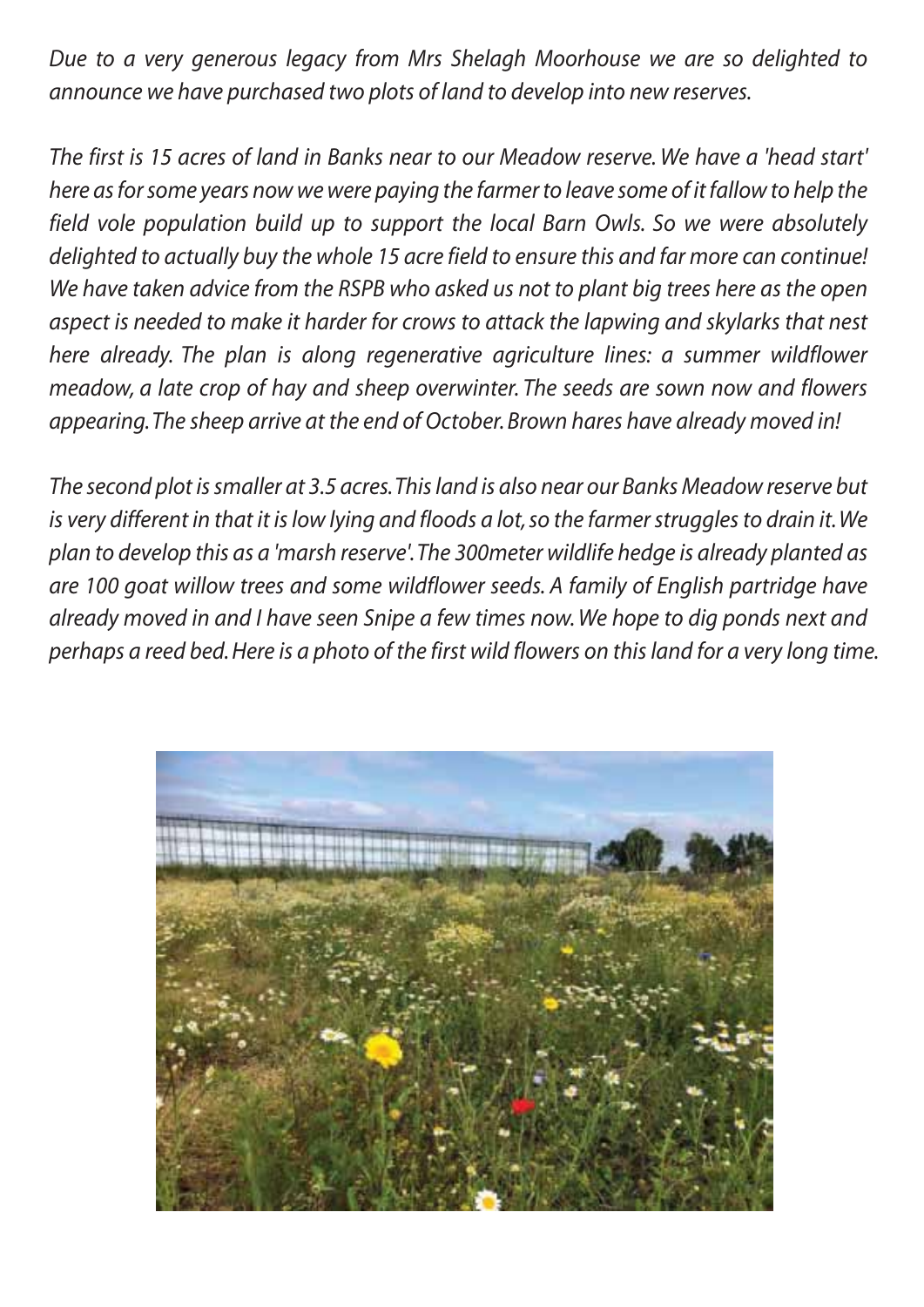*Due to a very generous legacy from Mrs Shelagh Moorhouse we are so delighted to announce we have purchased two plots of land to develop into new reserves.*

*The first is 15 acres of land in Banks near to our Meadow reserve. We have a 'head start' here as for some years now we were paying the farmer to leave some of it fallow to help the field vole population build up to support the local Barn Owls. So we were absolutely delighted to actually buy the whole 15 acre field to ensure this and far more can continue! We have taken advice from the RSPB who asked us not to plant big trees here as the open*  aspect is needed to make it harder for crows to attack the lapwing and skylarks that nest *here already. The plan is along regenerative agriculture lines: a summer wildflower meadow, a late crop of hay and sheep overwinter. The seeds are sown now and flowers appearing. The sheep arrive at the end of October. Brown hares have already moved in!*

*The second plot is smaller at 3.5 acres. This land is also near our Banks Meadow reserve but is very different in that it is low lying and floods a lot, so the farmer struggles to drain it. We plan to develop this as a 'marsh reserve'. The 300meter wildlife hedge is already planted as are 100 goat willow trees and some wildflower seeds. A family of English partridge have already moved in and I have seen Snipe a few times now. We hope to dig ponds next and perhaps a reed bed. Here is a photo of the first wild flowers on this land for a very long time.*

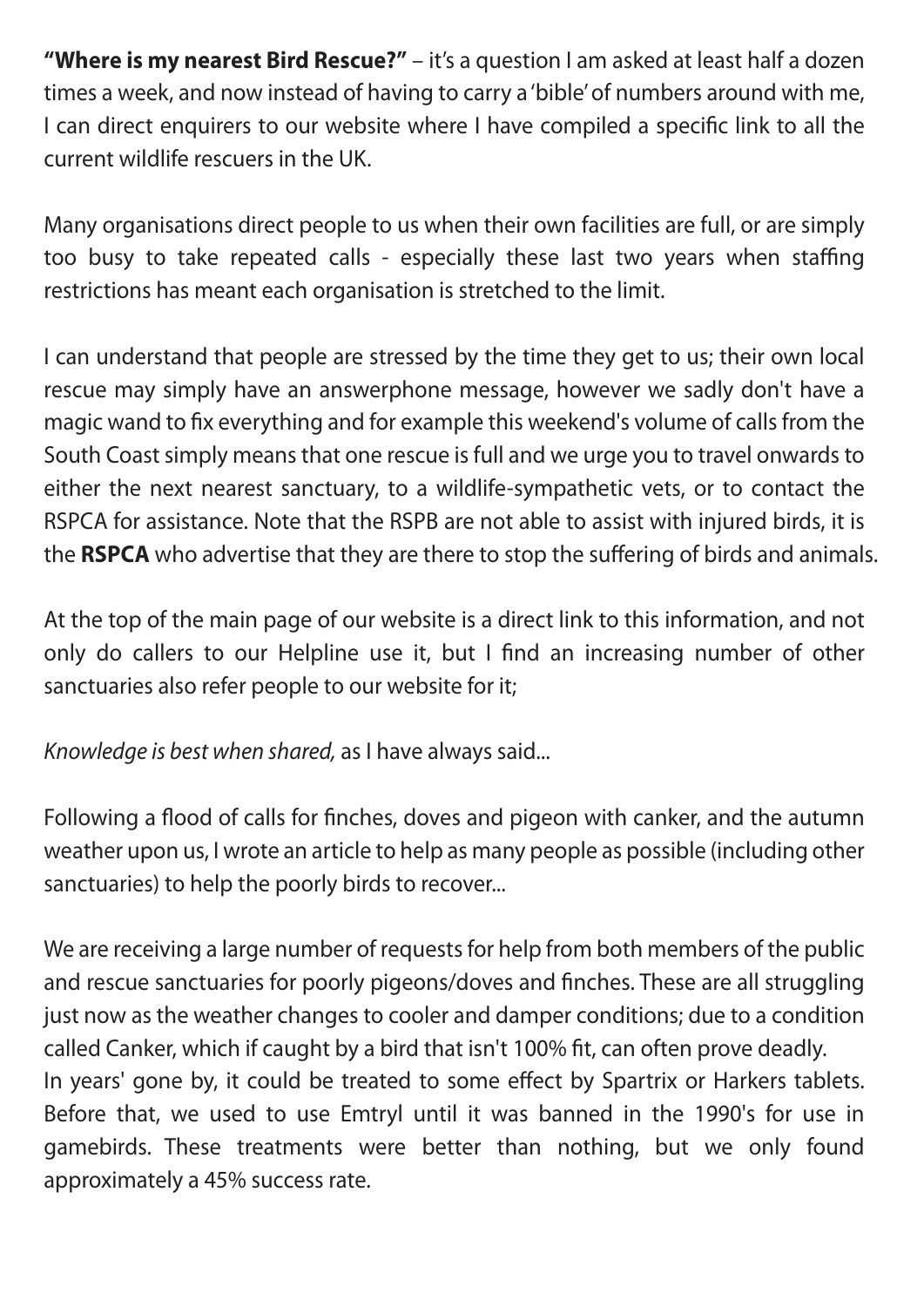**"Where is my nearest Bird Rescue?"** – it's a question I am asked at least half a dozen times a week, and now instead of having to carry a 'bible' of numbers around with me, I can direct enquirers to our website where I have compiled a specific link to all the current wildlife rescuers in the UK.

Many organisations direct people to us when their own facilities are full, or are simply too busy to take repeated calls - especially these last two years when staffing restrictions has meant each organisation is stretched to the limit.

I can understand that people are stressed by the time they get to us; their own local rescue may simply have an answerphone message, however we sadly don't have a magic wand to fix everything and for example this weekend's volume of calls from the South Coast simply means that one rescue is full and we urge you to travel onwards to either the next nearest sanctuary, to a wildlife-sympathetic vets, or to contact the RSPCA for assistance. Note that the RSPB are not able to assist with injured birds, it is the **RSPCA** who advertise that they are there to stop the suffering of birds and animals.

At the top of the main page of our website is a direct link to this information, and not only do callers to our Helpline use it, but I find an increasing number of other sanctuaries also refer people to our website for it;

*Knowledge is best when shared,* as I have always said...

Following a flood of calls for finches, doves and pigeon with canker, and the autumn weather upon us, I wrote an article to help as many people as possible (including other sanctuaries) to help the poorly birds to recover...

We are receiving a large number of requests for help from both members of the public and rescue sanctuaries for poorly pigeons/doves and finches. These are all struggling just now as the weather changes to cooler and damper conditions; due to a condition called Canker, which if caught by a bird that isn't 100% fit, can often prove deadly. In years' gone by, it could be treated to some effect by Spartrix or Harkers tablets. Before that, we used to use Emtryl until it was banned in the 1990's for use in gamebirds. These treatments were better than nothing, but we only found approximately a 45% success rate.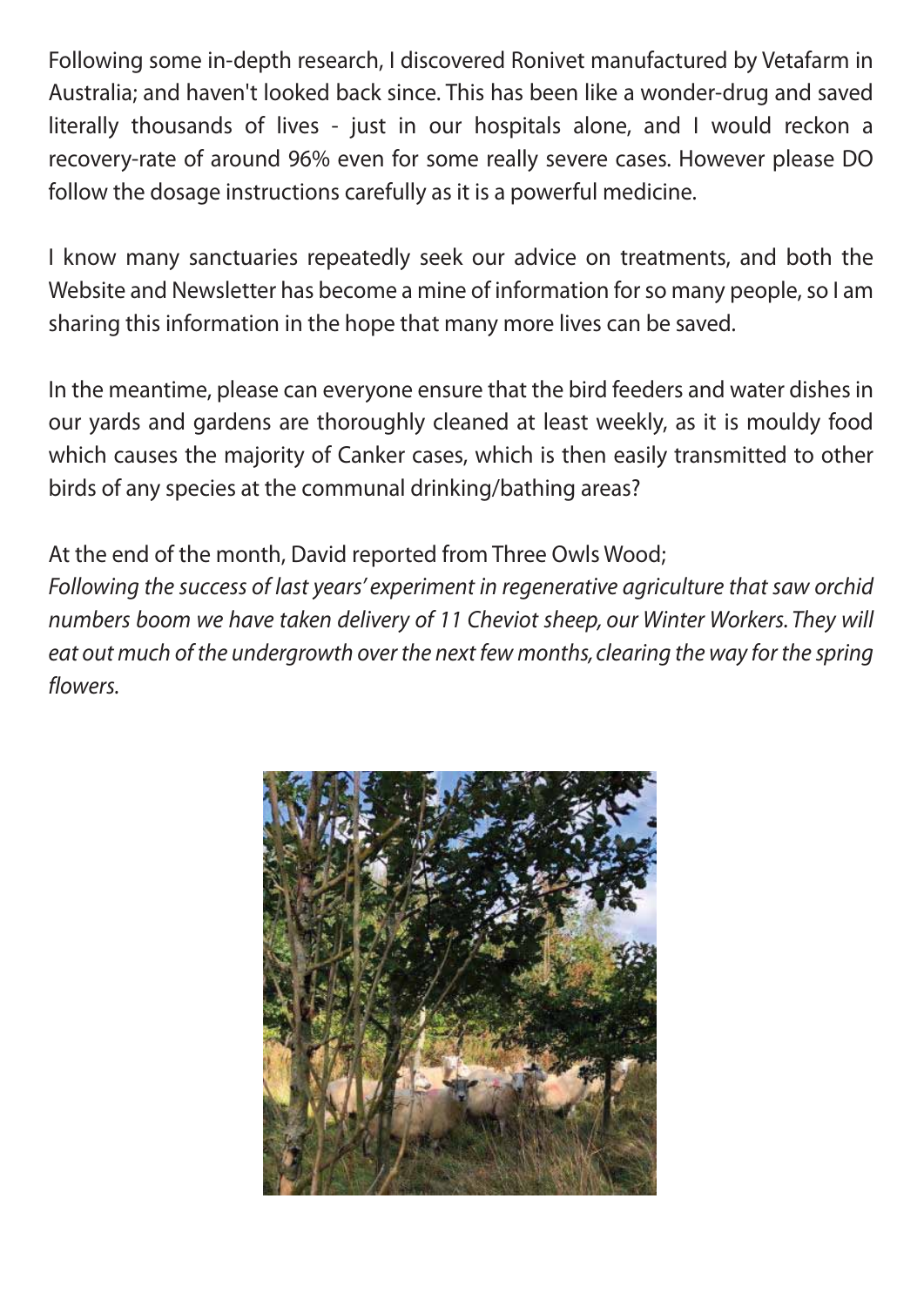Following some in-depth research, I discovered Ronivet manufactured by Vetafarm in Australia; and haven't looked back since. This has been like a wonder-drug and saved literally thousands of lives - just in our hospitals alone, and I would reckon a recovery-rate of around 96% even for some really severe cases. However please DO follow the dosage instructions carefully as it is a powerful medicine.

I know many sanctuaries repeatedly seek our advice on treatments, and both the Website and Newsletter has become a mine of information for so many people, so I am sharing this information in the hope that many more lives can be saved.

In the meantime, please can everyone ensure that the bird feeders and water dishes in our yards and gardens are thoroughly cleaned at least weekly, as it is mouldy food which causes the majority of Canker cases, which is then easily transmitted to other birds of any species at the communal drinking/bathing areas?

At the end of the month, David reported from Three Owls Wood;

*Following the success of last years' experiment in regenerative agriculture that saw orchid numbers boom we have taken delivery of 11 Cheviot sheep, our Winter Workers. They will eat out much of the undergrowth over the next few months, clearing the way for the spring flowers.*

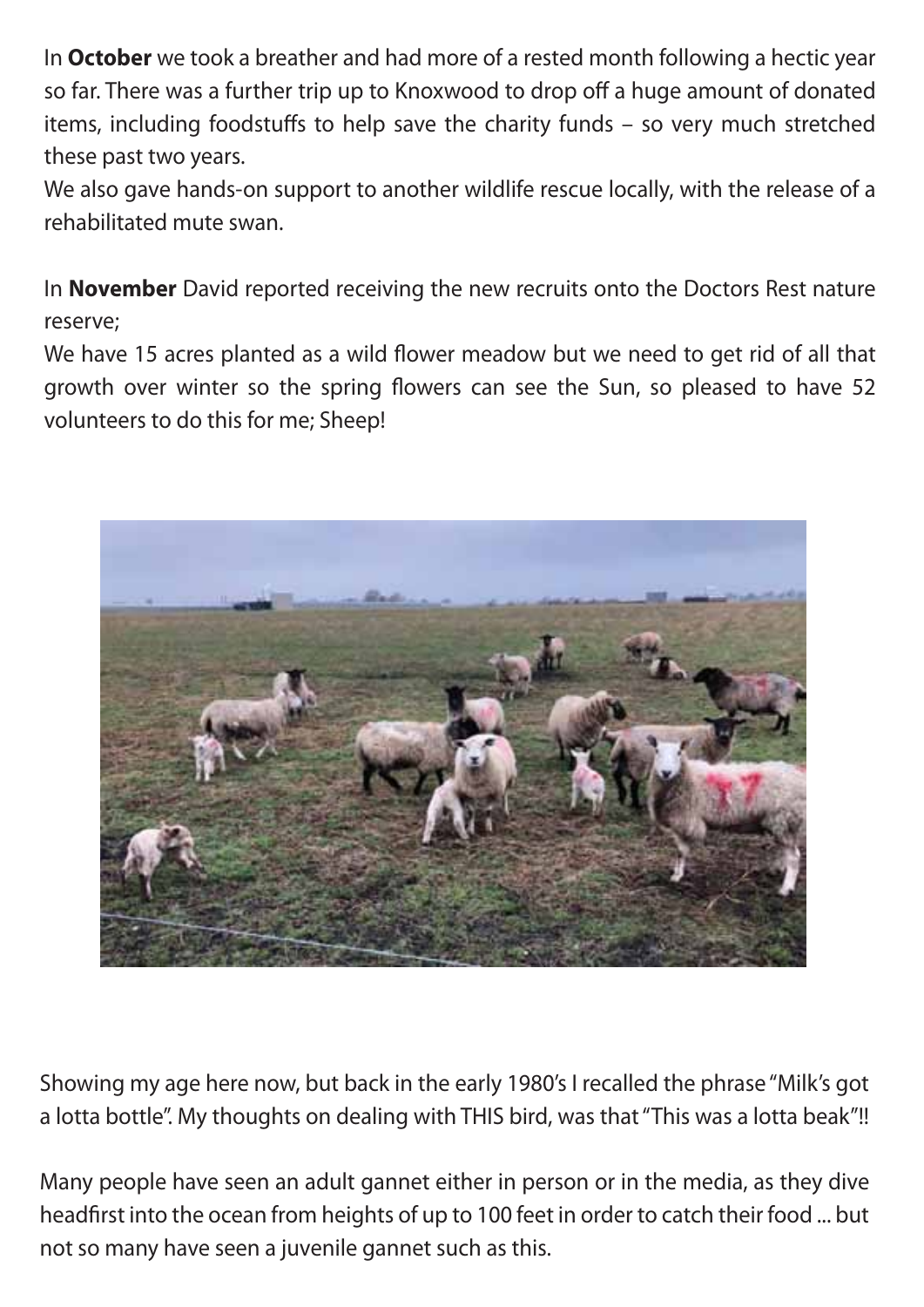In **October** we took a breather and had more of a rested month following a hectic year so far. There was a further trip up to Knoxwood to drop off a huge amount of donated items, including foodstuffs to help save the charity funds - so very much stretched these past two years.

We also gave hands-on support to another wildlife rescue locally, with the release of a rehabilitated mute swan.

In **November** David reported receiving the new recruits onto the Doctors Rest nature reserve;

We have 15 acres planted as a wild flower meadow but we need to get rid of all that growth over winter so the spring flowers can see the Sun, so pleased to have 52 volunteers to do this for me; Sheep!



Showing my age here now, but back in the early 1980's I recalled the phrase "Milk's got a lotta bottle". My thoughts on dealing with THIS bird, was that "This was a lotta beak"!!

Many people have seen an adult gannet either in person or in the media, as they dive headfirst into the ocean from heights of up to 100 feet in order to catch their food ... but not so many have seen a juvenile gannet such as this.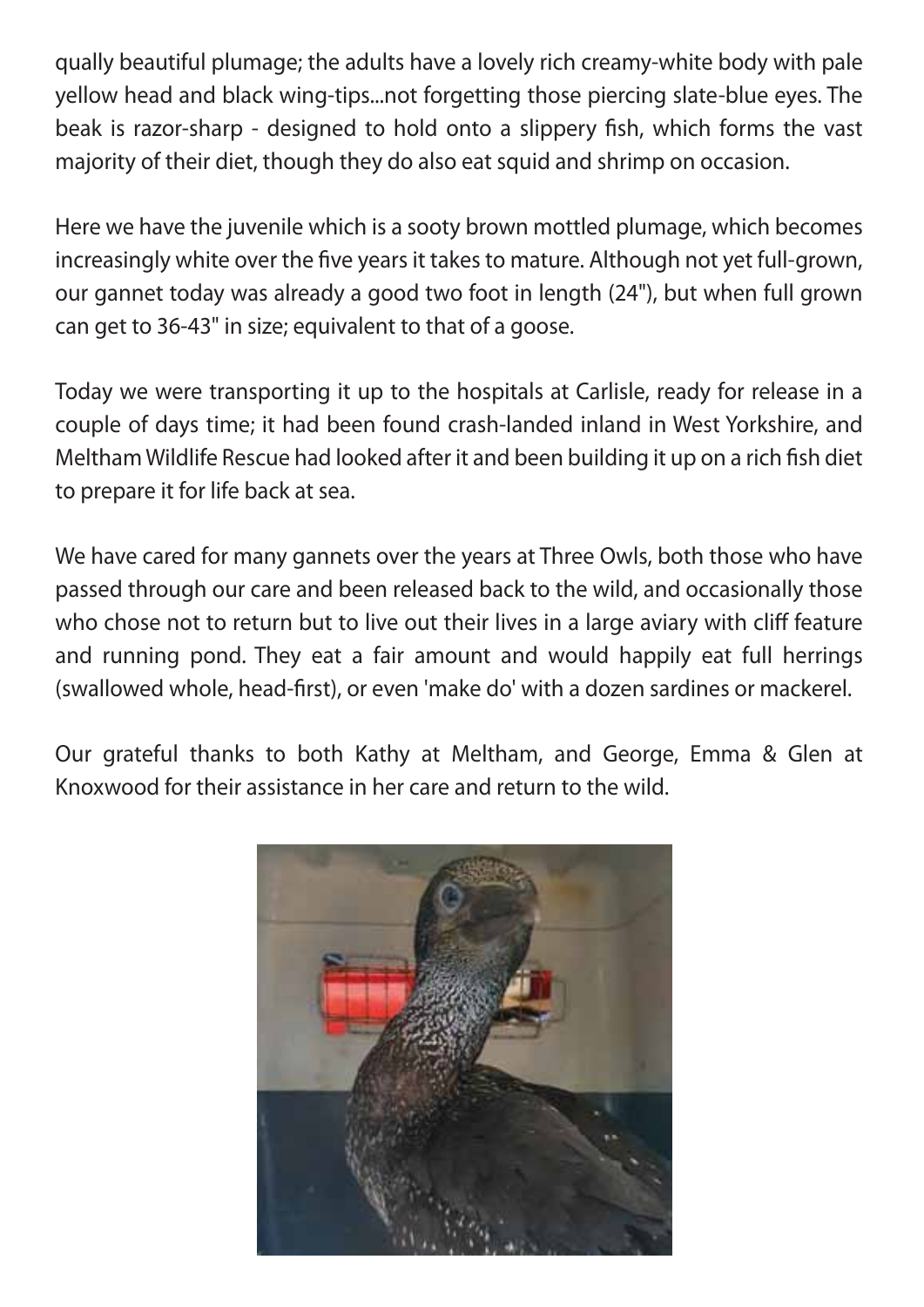qually beautiful plumage; the adults have a lovely rich creamy-white body with pale yellow head and black wing-tips...not forgetting those piercing slate-blue eyes. The beak is razor-sharp - designed to hold onto a slippery fish, which forms the vast majority of their diet, though they do also eat squid and shrimp on occasion.

Here we have the juvenile which is a sooty brown mottled plumage, which becomes increasingly white over the five years it takes to mature. Although not yet full-grown, our gannet today was already a good two foot in length (24"), but when full grown can get to 36-43" in size; equivalent to that of a goose.

Today we were transporting it up to the hospitals at Carlisle, ready for release in a couple of days time; it had been found crash-landed inland in West Yorkshire, and Meltham Wildlife Rescue had looked after it and been building it up on a rich fish diet to prepare it for life back at sea.

We have cared for many gannets over the years at Three Owls, both those who have passed through our care and been released back to the wild, and occasionally those who chose not to return but to live out their lives in a large aviary with cliff feature and running pond. They eat a fair amount and would happily eat full herrings (swallowed whole, head-first), or even 'make do' with a dozen sardines or mackerel.

Our grateful thanks to both Kathy at Meltham, and George, Emma & Glen at Knoxwood for their assistance in her care and return to the wild.

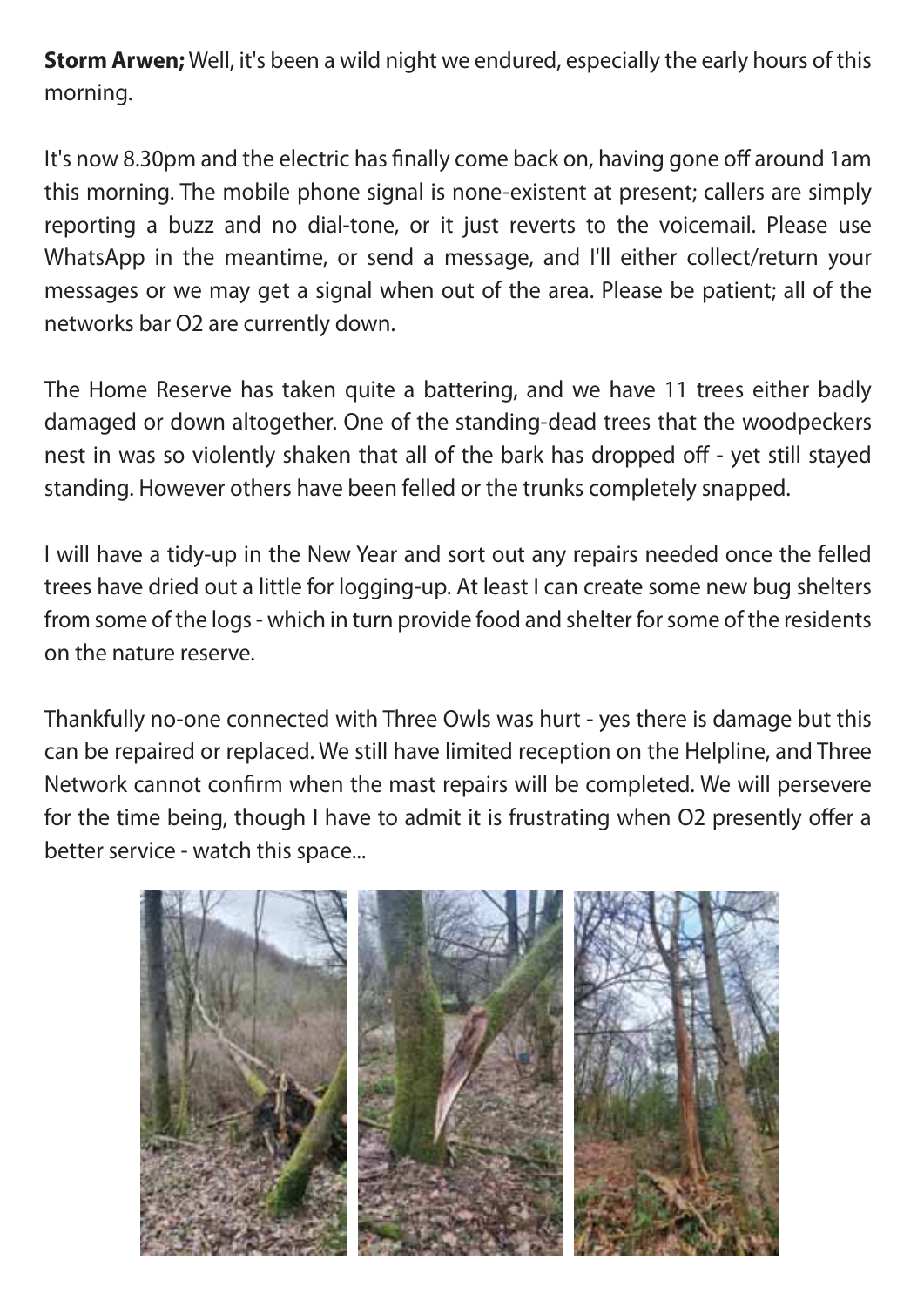**Storm Arwen;** Well, it's been a wild night we endured, especially the early hours of this morning.

It's now 8.30pm and the electric has finally come back on, having gone off around 1am this morning. The mobile phone signal is none-existent at present; callers are simply reporting a buzz and no dial-tone, or it just reverts to the voicemail. Please use WhatsApp in the meantime, or send a message, and I'll either collect/return your messages or we may get a signal when out of the area. Please be patient; all of the networks bar O2 are currently down.

The Home Reserve has taken quite a battering, and we have 11 trees either badly damaged or down altogether. One of the standing-dead trees that the woodpeckers nest in was so violently shaken that all of the bark has dropped off - yet still stayed standing. However others have been felled or the trunks completely snapped.

I will have a tidy-up in the New Year and sort out any repairs needed once the felled trees have dried out a little for logging-up. At least I can create some new bug shelters from some of the logs - which in turn provide food and shelter for some of the residents on the nature reserve.

Thankfully no-one connected with Three Owls was hurt - yes there is damage but this can be repaired or replaced. We still have limited reception on the Helpline, and Three Network cannot confirm when the mast repairs will be completed. We will persevere for the time being, though I have to admit it is frustrating when O2 presently offer a better service - watch this space...

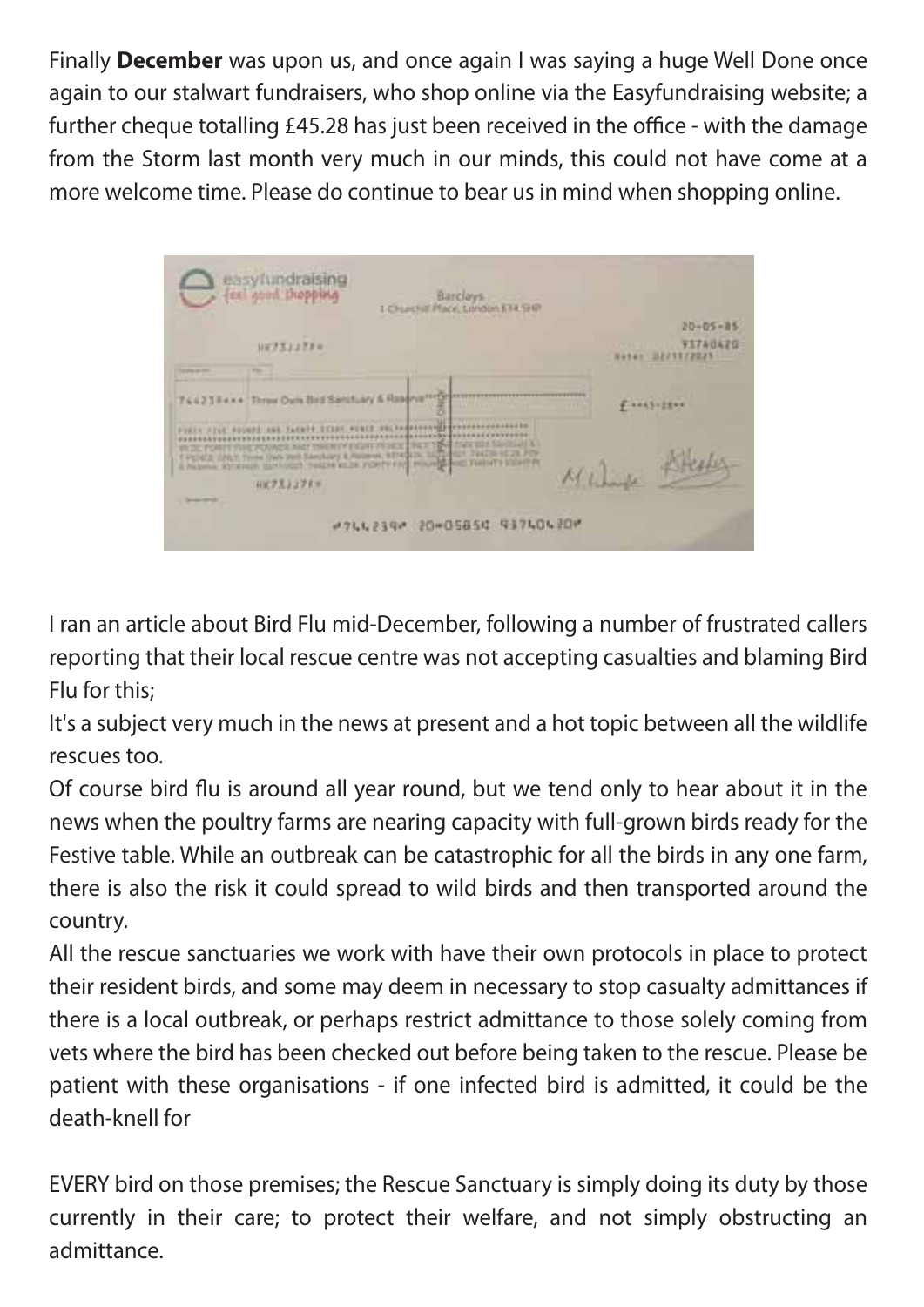Finally **December** was upon us, and once again I was saying a huge Well Done once again to our stalwart fundraisers, who shop online via the Easyfundraising website; a further cheque totalling £45.28 has just been received in the office - with the damage from the Storm last month very much in our minds, this could not have come at a more welcome time. Please do continue to bear us in mind when shopping online.

| easyfundraising<br><b>Barclays</b><br>I Churchill Place, London ETA SHP                                                                                                                                                                                                                                                                                                            |                                                |
|------------------------------------------------------------------------------------------------------------------------------------------------------------------------------------------------------------------------------------------------------------------------------------------------------------------------------------------------------------------------------------|------------------------------------------------|
| <b>HETSIJTI®</b>                                                                                                                                                                                                                                                                                                                                                                   | $20 - 05 - 05$<br>73740476<br>HATOT DECTTTERES |
| 744234xx + Three Outs Bird Sanctuary & Reservement                                                                                                                                                                                                                                                                                                                                 | F. LASSIERE                                    |
| OUL RESERVANCE CONTRACTORS AND RE-<br>FORTH ATLK ROUNDE AND TAXAPPEREDRE PUBLIC<br>**************************************<br><b>FURL FORFITTING POINGS AND TREDITY FIGHT PERCE TRED TO A CAN SO SAVINAL K</b><br>I FERE ON Thee las and Section & Gener, \$10000, high dist limits of a FO-<br>A Retener STATION ISSUED THESE KEIN FORTY FAT HOURS FOR THEFTY EXHIBIT<br>日式アスミングドマ | PHS<br>Milia                                   |
| #744239# 20#05854 93740420#                                                                                                                                                                                                                                                                                                                                                        |                                                |

I ran an article about Bird Flu mid-December, following a number of frustrated callers reporting that their local rescue centre was not accepting casualties and blaming Bird Flu for this;

It's a subject very much in the news at present and a hot topic between all the wildlife rescues too.

Of course bird flu is around all year round, but we tend only to hear about it in the news when the poultry farms are nearing capacity with full-grown birds ready for the Festive table. While an outbreak can be catastrophic for all the birds in any one farm, there is also the risk it could spread to wild birds and then transported around the country.

All the rescue sanctuaries we work with have their own protocols in place to protect their resident birds, and some may deem in necessary to stop casualty admittances if there is a local outbreak, or perhaps restrict admittance to those solely coming from vets where the bird has been checked out before being taken to the rescue. Please be patient with these organisations - if one infected bird is admitted, it could be the death-knell for

EVERY bird on those premises; the Rescue Sanctuary is simply doing its duty by those currently in their care; to protect their welfare, and not simply obstructing an admittance.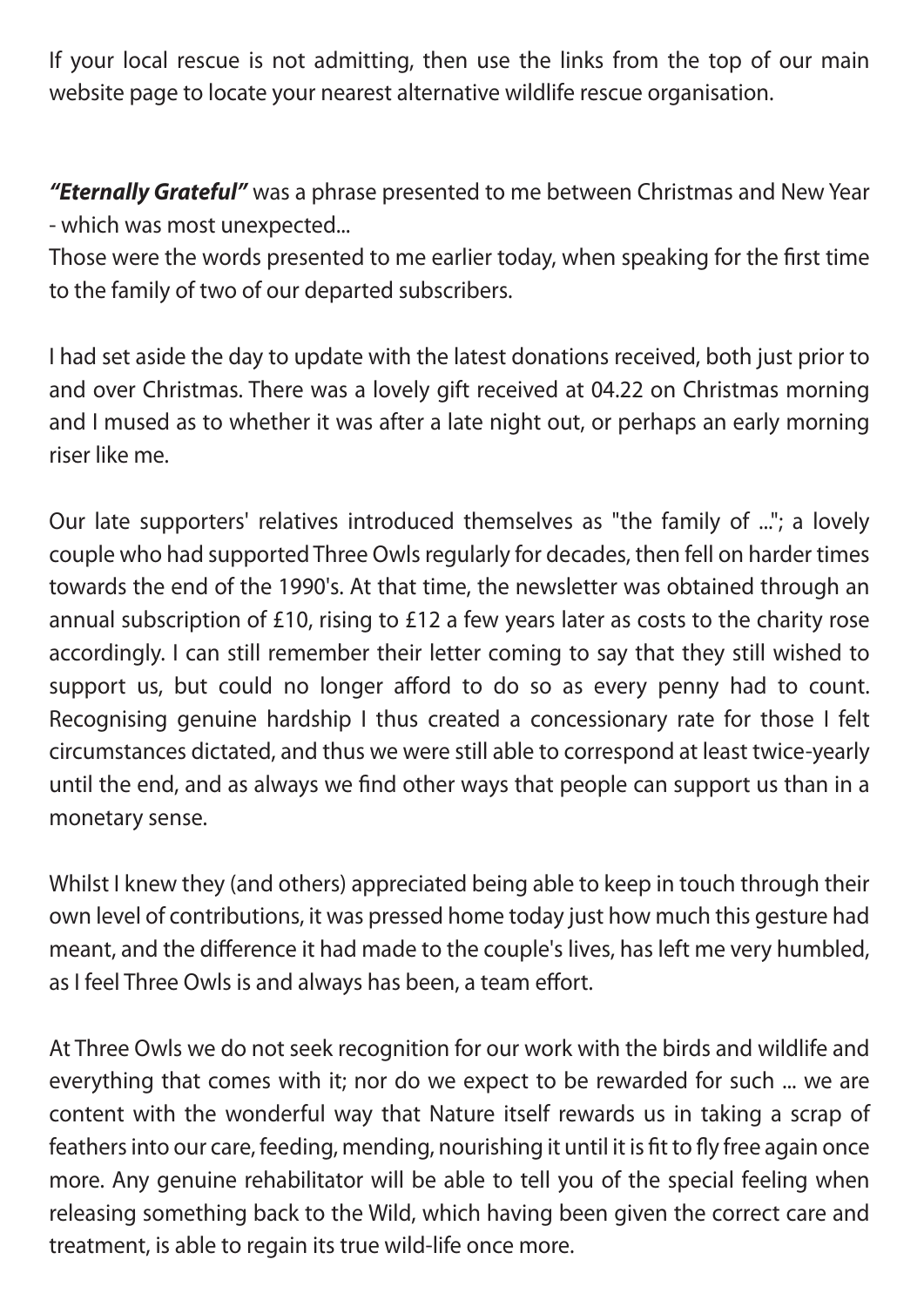If your local rescue is not admitting, then use the links from the top of our main website page to locate your nearest alternative wildlife rescue organisation.

*"Eternally Grateful"* was a phrase presented to me between Christmas and New Year - which was most unexpected...

Those were the words presented to me earlier today, when speaking for the first time to the family of two of our departed subscribers.

I had set aside the day to update with the latest donations received, both just prior to and over Christmas. There was a lovely gift received at 04.22 on Christmas morning and I mused as to whether it was after a late night out, or perhaps an early morning riser like me.

Our late supporters' relatives introduced themselves as "the family of ..."; a lovely couple who had supported Three Owls regularly for decades, then fell on harder times towards the end of the 1990's. At that time, the newsletter was obtained through an annual subscription of £10, rising to £12 a few years later as costs to the charity rose accordingly. I can still remember their letter coming to say that they still wished to support us, but could no longer afford to do so as every penny had to count. Recognising genuine hardship I thus created a concessionary rate for those I felt circumstances dictated, and thus we were still able to correspond at least twice-yearly until the end, and as always we find other ways that people can support us than in a monetary sense.

Whilst I knew they (and others) appreciated being able to keep in touch through their own level of contributions, it was pressed home today just how much this gesture had meant, and the difference it had made to the couple's lives, has left me very humbled, as I feel Three Owls is and always has been, a team effort.

At Three Owls we do not seek recognition for our work with the birds and wildlife and everything that comes with it; nor do we expect to be rewarded for such ... we are content with the wonderful way that Nature itself rewards us in taking a scrap of feathers into our care, feeding, mending, nourishing it until it is fit to fly free again once more. Any genuine rehabilitator will be able to tell you of the special feeling when releasing something back to the Wild, which having been given the correct care and treatment, is able to regain its true wild-life once more.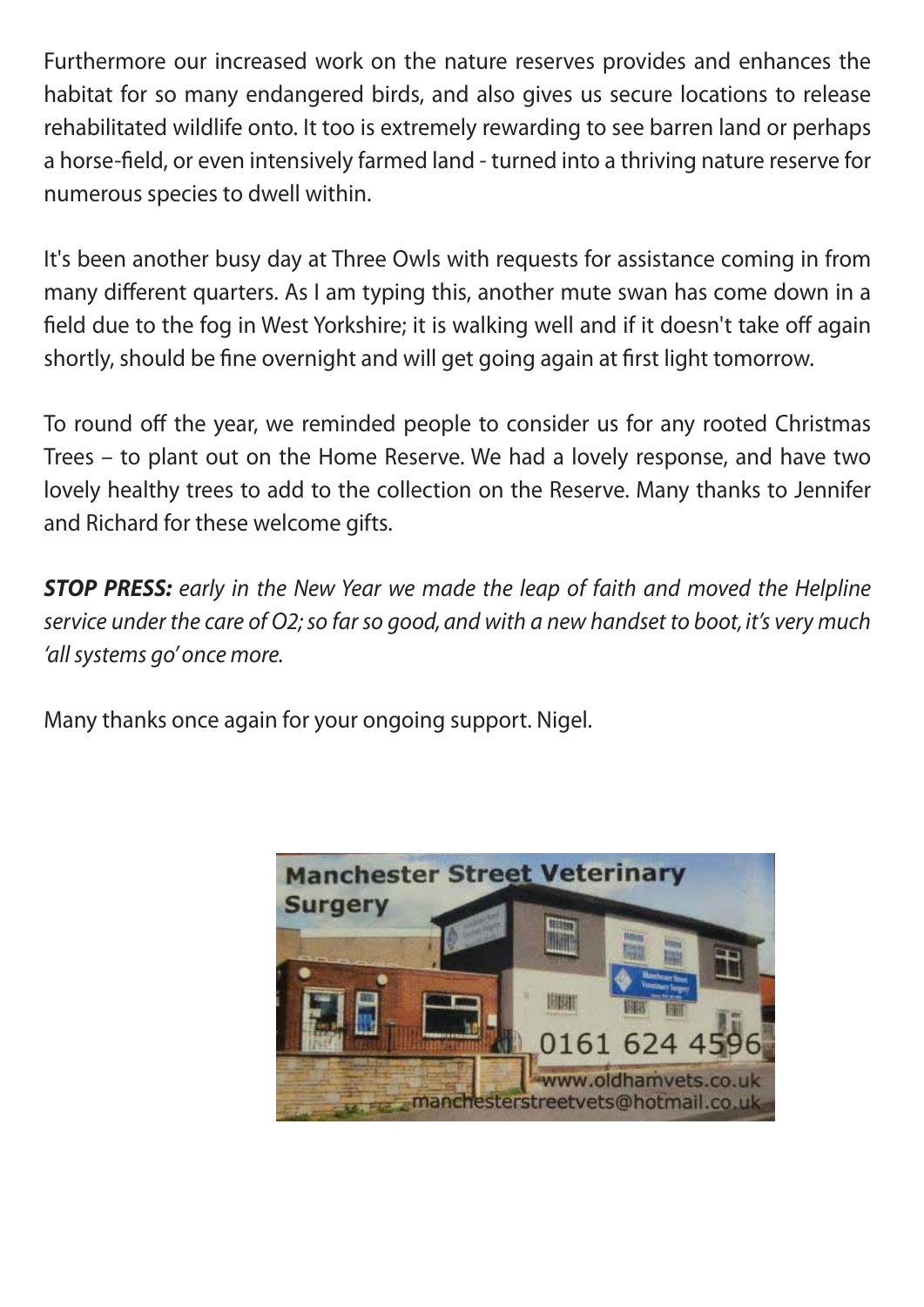Furthermore our increased work on the nature reserves provides and enhances the habitat for so many endangered birds, and also gives us secure locations to release rehabilitated wildlife onto. It too is extremely rewarding to see barren land or perhaps a horse-field, or even intensively farmed land - turned into a thriving nature reserve for numerous species to dwell within.

It's been another busy day at Three Owls with requests for assistance coming in from many different quarters. As I am typing this, another mute swan has come down in a field due to the fog in West Yorkshire; it is walking well and if it doesn't take off again shortly, should be fine overnight and will get going again at first light tomorrow.

To round off the year, we reminded people to consider us for any rooted Christmas Trees – to plant out on the Home Reserve. We had a lovely response, and have two lovely healthy trees to add to the collection on the Reserve. Many thanks to Jennifer and Richard for these welcome gifts.

*STOP PRESS: early in the New Year we made the leap of faith and moved the Helpline service under the care of O2; so far so good, and with a new handset to boot, it's very much 'all systems go' once more.*

Many thanks once again for your ongoing support. Nigel.